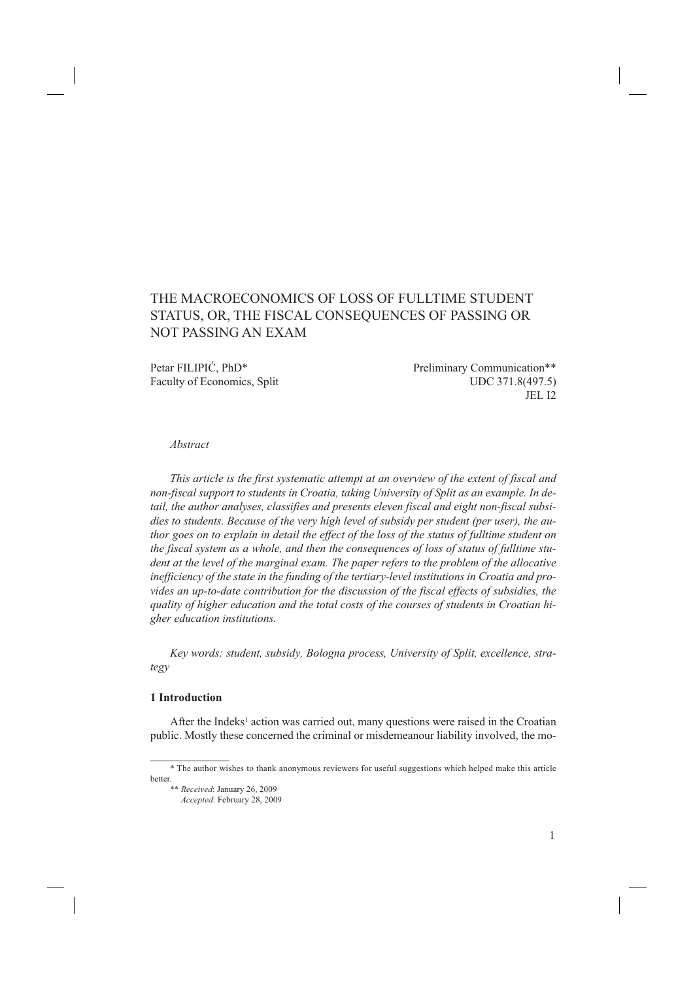# THE MACROECONOMICS OF LOSS OF FULLTIME STUDENT STATUS, OR, THE FISCAL CONSEQUENCES OF PASSING OR NOT PASSING AN EXAM

Petar FILIPIĆ, PhD\* Preliminary Communication\*\* Faculty of Economics, Split UDC 371.8(497.5) JEL I2

#### *Abstract*

*This article is the first systematic attempt at an overview of the extent of fiscal and non-fiscal support to students in Croatia, taking University of Split as an example. In detail, the author analyses, classifies and presents eleven fiscal and eight non-fiscal subsidies to students. Because of the very high level of subsidy per student (per user), the author goes on to explain in detail the effect of the loss of the status of fulltime student on the fiscal system as a whole, and then the consequences of loss of status of fulltime student at the level of the marginal exam. The paper refers to the problem of the allocative inefficiency of the state in the funding of the tertiary-level institutions in Croatia and provides an up-to-date contribution for the discussion of the fiscal effects of subsidies, the quality of higher education and the total costs of the courses of students in Croatian higher education institutions.* 

*Key words: student, subsidy, Bologna process, University of Split, excellence, strategy*

### **1 Introduction**

After the Indeks<sup>1</sup> action was carried out, many questions were raised in the Croatian public. Mostly these concerned the criminal or misdemeanour liability involved, the mo-

<sup>\*</sup> The author wishes to thank anonymous reviewers for useful suggestions which helped make this article better.

<sup>\*\*</sup> *Received*: January 26, 2009

*Accepted*: February 28, 2009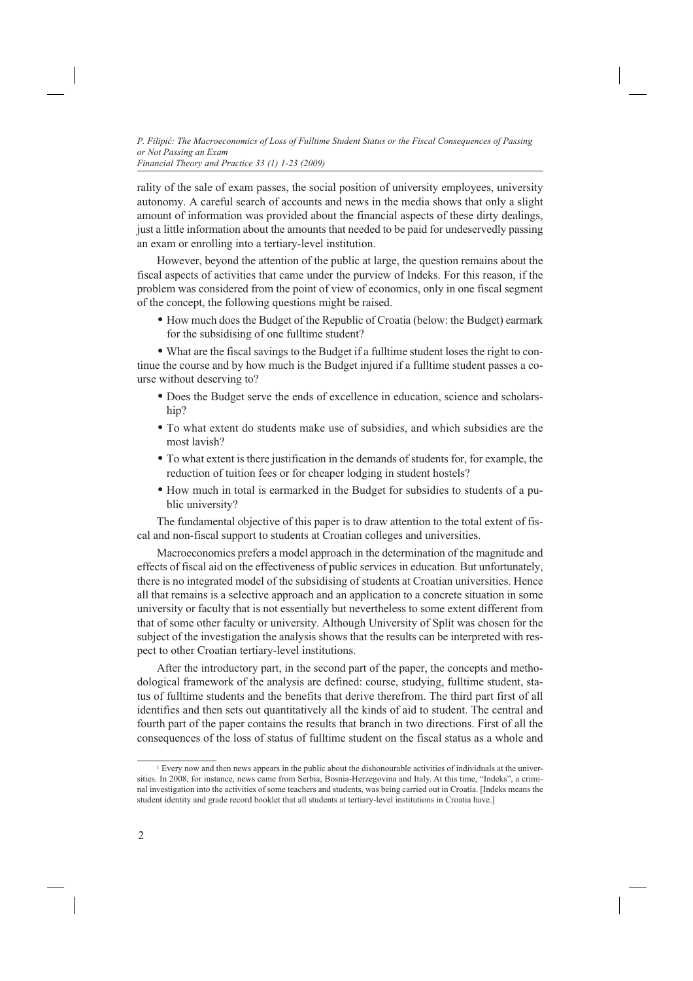rality of the sale of exam passes, the social position of university employees, university autonomy. A careful search of accounts and news in the media shows that only a slight amount of information was provided about the financial aspects of these dirty dealings, just a little information about the amounts that needed to be paid for undeservedly passing an exam or enrolling into a tertiary-level institution.

However, beyond the attention of the public at large, the question remains about the fiscal aspects of activities that came under the purview of Indeks. For this reason, if the problem was considered from the point of view of economics, only in one fiscal segment of the concept, the following questions might be raised.

• How much does the Budget of the Republic of Croatia (below: the Budget) earmark for the subsidising of one fulltime student?

• What are the fiscal savings to the Budget if a fulltime student loses the right to continue the course and by how much is the Budget injured if a fulltime student passes a course without deserving to?

- Does the Budget serve the ends of excellence in education, science and scholarship?
- To what extent do students make use of subsidies, and which subsidies are the most lavish?
- To what extent is there justification in the demands of students for, for example, the reduction of tuition fees or for cheaper lodging in student hostels?
- How much in total is earmarked in the Budget for subsidies to students of a public university?

The fundamental objective of this paper is to draw attention to the total extent of fiscal and non-fiscal support to students at Croatian colleges and universities.

Macroeconomics prefers a model approach in the determination of the magnitude and effects of fiscal aid on the effectiveness of public services in education. But unfortunately, there is no integrated model of the subsidising of students at Croatian universities. Hence all that remains is a selective approach and an application to a concrete situation in some university or faculty that is not essentially but nevertheless to some extent different from that of some other faculty or university. Although University of Split was chosen for the subject of the investigation the analysis shows that the results can be interpreted with respect to other Croatian tertiary-level institutions.

After the introductory part, in the second part of the paper, the concepts and methodological framework of the analysis are defined: course, studying, fulltime student, status of fulltime students and the benefits that derive therefrom. The third part first of all identifies and then sets out quantitatively all the kinds of aid to student. The central and fourth part of the paper contains the results that branch in two directions. First of all the consequences of the loss of status of fulltime student on the fiscal status as a whole and

<sup>1</sup> Every now and then news appears in the public about the dishonourable activities of individuals at the universities. In 2008, for instance, news came from Serbia, Bosnia-Herzegovina and Italy. At this time, "Indeks", a criminal investigation into the activities of some teachers and students, was being carried out in Croatia. [Indeks means the student identity and grade record booklet that all students at tertiary-level institutions in Croatia have.]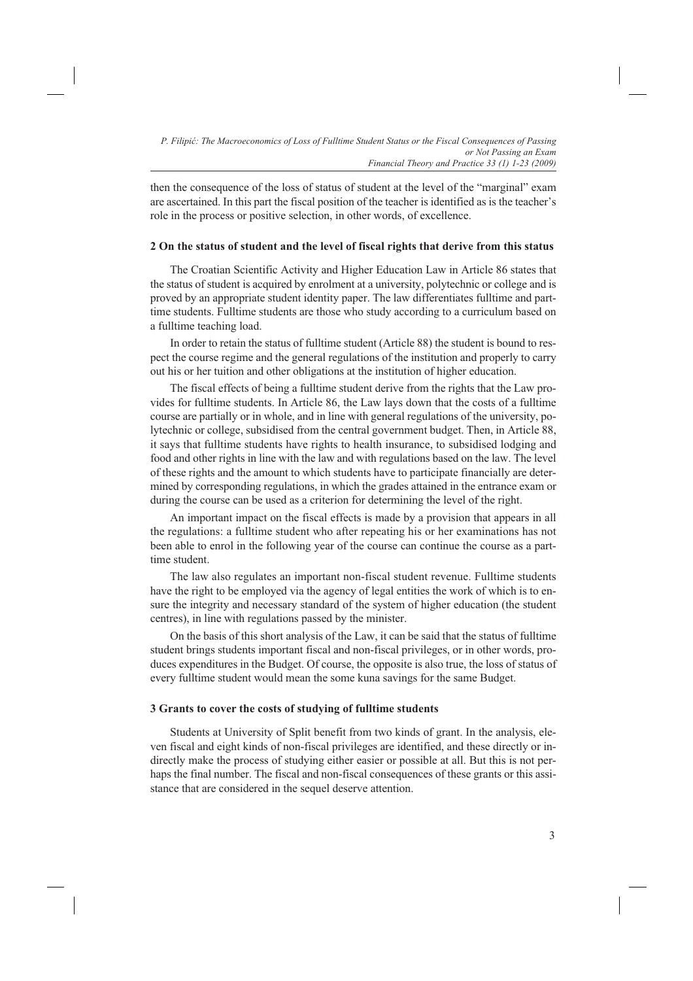then the consequence of the loss of status of student at the level of the "marginal" exam are ascertained. In this part the fiscal position of the teacher is identified as is the teacher's role in the process or positive selection, in other words, of excellence.

# **2 On the status of student and the level of fiscal rights that derive from this status**

The Croatian Scientific Activity and Higher Education Law in Article 86 states that the status of student is acquired by enrolment at a university, polytechnic or college and is proved by an appropriate student identity paper. The law differentiates fulltime and parttime students. Fulltime students are those who study according to a curriculum based on a fulltime teaching load.

In order to retain the status of fulltime student (Article 88) the student is bound to respect the course regime and the general regulations of the institution and properly to carry out his or her tuition and other obligations at the institution of higher education.

The fiscal effects of being a fulltime student derive from the rights that the Law provides for fulltime students. In Article 86, the Law lays down that the costs of a fulltime course are partially or in whole, and in line with general regulations of the university, polytechnic or college, subsidised from the central government budget. Then, in Article 88, it says that fulltime students have rights to health insurance, to subsidised lodging and food and other rights in line with the law and with regulations based on the law. The level of these rights and the amount to which students have to participate financially are determined by corresponding regulations, in which the grades attained in the entrance exam or during the course can be used as a criterion for determining the level of the right.

An important impact on the fiscal effects is made by a provision that appears in all the regulations: a fulltime student who after repeating his or her examinations has not been able to enrol in the following year of the course can continue the course as a parttime student.

The law also regulates an important non-fiscal student revenue. Fulltime students have the right to be employed via the agency of legal entities the work of which is to ensure the integrity and necessary standard of the system of higher education (the student centres), in line with regulations passed by the minister.

On the basis of this short analysis of the Law, it can be said that the status of fulltime student brings students important fiscal and non-fiscal privileges, or in other words, produces expenditures in the Budget. Of course, the opposite is also true, the loss of status of every fulltime student would mean the some kuna savings for the same Budget.

# **3 Grants to cover the costs of studying of fulltime students**

Students at University of Split benefit from two kinds of grant. In the analysis, eleven fiscal and eight kinds of non-fiscal privileges are identified, and these directly or indirectly make the process of studying either easier or possible at all. But this is not perhaps the final number. The fiscal and non-fiscal consequences of these grants or this assistance that are considered in the sequel deserve attention.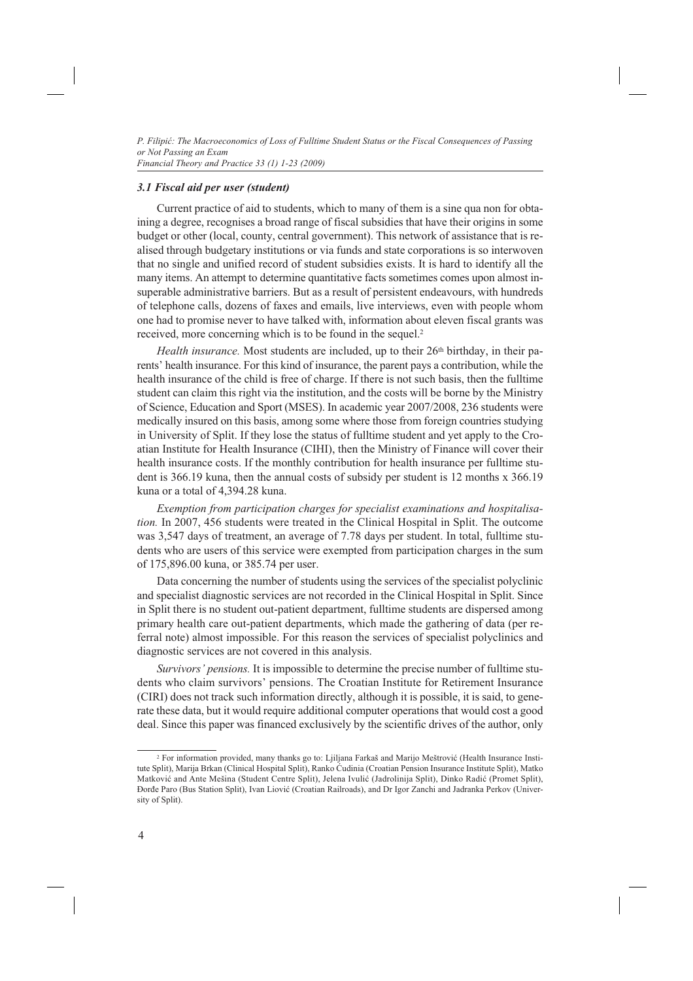### *3.1 Fiscal aid per user (student)*

Current practice of aid to students, which to many of them is a sine qua non for obtaining a degree, recognises a broad range of fiscal subsidies that have their origins in some budget or other (local, county, central government). This network of assistance that is realised through budgetary institutions or via funds and state corporations is so interwoven that no single and unified record of student subsidies exists. It is hard to identify all the many items. An attempt to determine quantitative facts sometimes comes upon almost insuperable administrative barriers. But as a result of persistent endeavours, with hundreds of telephone calls, dozens of faxes and emails, live interviews, even with people whom one had to promise never to have talked with, information about eleven fiscal grants was received, more concerning which is to be found in the sequel.2

Health insurance. Most students are included, up to their 26<sup>th</sup> birthday, in their parents' health insurance. For this kind of insurance, the parent pays a contribution, while the health insurance of the child is free of charge. If there is not such basis, then the full time student can claim this right via the institution, and the costs will be borne by the Ministry of Science, Education and Sport (MSES). In academic year 2007/2008, 236 students were medically insured on this basis, among some where those from foreign countries studying in University of Split. If they lose the status of fulltime student and yet apply to the Croatian Institute for Health Insurance (CIHI), then the Ministry of Finance will cover their health insurance costs. If the monthly contribution for health insurance per fulltime student is 366.19 kuna, then the annual costs of subsidy per student is 12 months x 366.19 kuna or a total of 4,394.28 kuna.

*Exemption from participation charges for specialist examinations and hospitalisation.* In 2007, 456 students were treated in the Clinical Hospital in Split. The outcome was 3,547 days of treatment, an average of 7.78 days per student. In total, fulltime students who are users of this service were exempted from participation charges in the sum of 175,896.00 kuna, or 385.74 per user.

Data concerning the number of students using the services of the specialist polyclinic and specialist diagnostic services are not recorded in the Clinical Hospital in Split. Since in Split there is no student out-patient department, fulltime students are dispersed among primary health care out-patient departments, which made the gathering of data (per referral note) almost impossible. For this reason the services of specialist polyclinics and diagnostic services are not covered in this analysis.

*Survivors' pensions.* It is impossible to determine the precise number of fulltime students who claim survivors' pensions. The Croatian Institute for Retirement Insurance (CIRI) does not track such information directly, although it is possible, it is said, to generate these data, but it would require additional computer operations that would cost a good deal. Since this paper was financed exclusively by the scientific drives of the author, only

<sup>2</sup> For information provided, many thanks go to: Ljiljana Farkaš and Marijo Meštrović (Health Insurance Institute Split), Marija Brkan (Clinical Hospital Split), Ranko Ćudinia (Croatian Pension Insurance Institute Split), Matko Matković and Ante Mešina (Student Centre Split), Jelena Ivulić (Jadrolinija Split), Dinko Radić (Promet Split), Đorđe Paro (Bus Station Split), Ivan Liović (Croatian Railroads), and Dr Igor Zanchi and Jadranka Perkov (University of Split).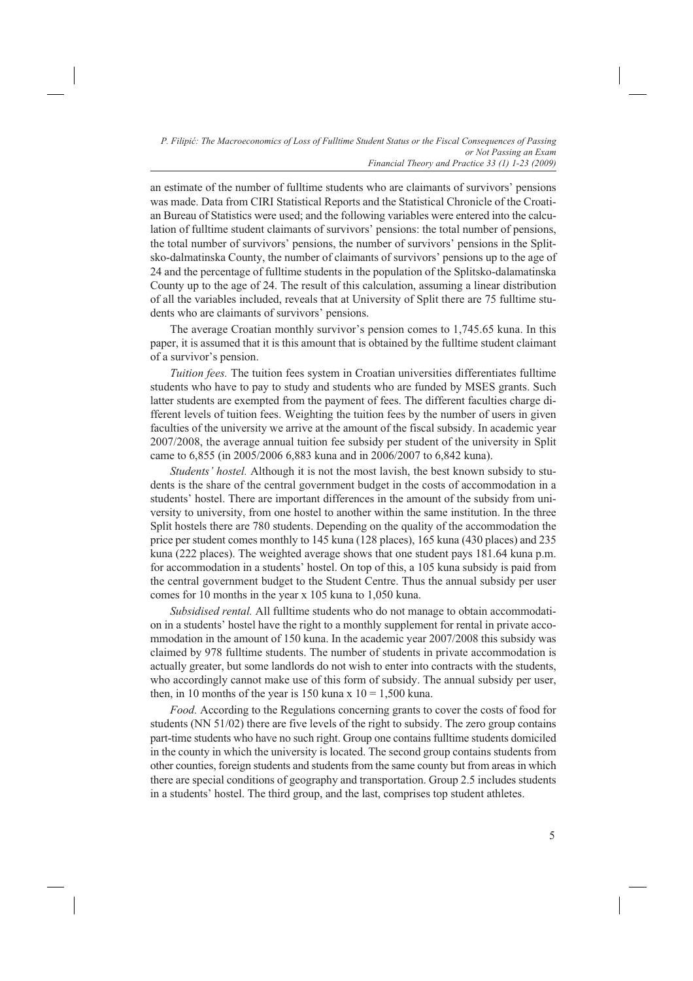an estimate of the number of fulltime students who are claimants of survivors' pensions was made. Data from CIRI Statistical Reports and the Statistical Chronicle of the Croatian Bureau of Statistics were used; and the following variables were entered into the calculation of fulltime student claimants of survivors' pensions: the total number of pensions, the total number of survivors' pensions, the number of survivors' pensions in the Splitsko-dalmatinska County, the number of claimants of survivors' pensions up to the age of 24 and the percentage of fulltime students in the population of the Splitsko-dalamatinska County up to the age of 24. The result of this calculation, assuming a linear distribution of all the variables included, reveals that at University of Split there are 75 fulltime students who are claimants of survivors' pensions.

The average Croatian monthly survivor's pension comes to 1,745.65 kuna. In this paper, it is assumed that it is this amount that is obtained by the fulltime student claimant of a survivor's pension.

*Tuition fees.* The tuition fees system in Croatian universities differentiates fulltime students who have to pay to study and students who are funded by MSES grants. Such latter students are exempted from the payment of fees. The different faculties charge different levels of tuition fees. Weighting the tuition fees by the number of users in given faculties of the university we arrive at the amount of the fiscal subsidy. In academic year 2007/2008, the average annual tuition fee subsidy per student of the university in Split came to 6,855 (in 2005/2006 6,883 kuna and in 2006/2007 to 6,842 kuna).

*Students' hostel.* Although it is not the most lavish, the best known subsidy to students is the share of the central government budget in the costs of accommodation in a students' hostel. There are important differences in the amount of the subsidy from university to university, from one hostel to another within the same institution. In the three Split hostels there are 780 students. Depending on the quality of the accommodation the price per student comes monthly to 145 kuna (128 places), 165 kuna (430 places) and 235 kuna (222 places). The weighted average shows that one student pays 181.64 kuna p.m. for accommodation in a students' hostel. On top of this, a 105 kuna subsidy is paid from the central government budget to the Student Centre. Thus the annual subsidy per user comes for 10 months in the year x 105 kuna to 1,050 kuna.

*Subsidised rental.* All fulltime students who do not manage to obtain accommodation in a students' hostel have the right to a monthly supplement for rental in private accommodation in the amount of 150 kuna. In the academic year 2007/2008 this subsidy was claimed by 978 fulltime students. The number of students in private accommodation is actually greater, but some landlords do not wish to enter into contracts with the students, who accordingly cannot make use of this form of subsidy. The annual subsidy per user, then, in 10 months of the year is 150 kuna x  $10 = 1,500$  kuna.

*Food.* According to the Regulations concerning grants to cover the costs of food for students (NN 51/02) there are five levels of the right to subsidy. The zero group contains part-time students who have no such right. Group one contains fulltime students domiciled in the county in which the university is located. The second group contains students from other counties, foreign students and students from the same county but from areas in which there are special conditions of geography and transportation. Group 2.5 includes students in a students' hostel. The third group, and the last, comprises top student athletes.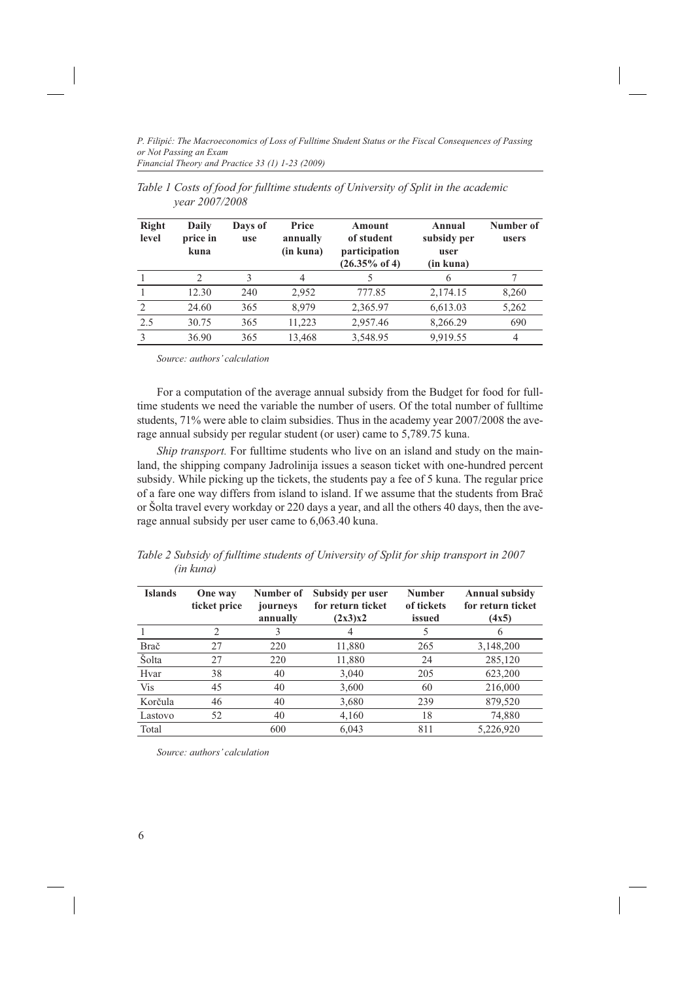| <b>Right</b><br>level | Daily<br>price in<br>kuna | Days of<br>use | Price<br>annually<br>(in kuna) | Amount<br>of student<br>participation<br>$(26.35\% \text{ of } 4)$ | Annual<br>subsidy per<br>user<br>(in kuna) | Number of<br>users |
|-----------------------|---------------------------|----------------|--------------------------------|--------------------------------------------------------------------|--------------------------------------------|--------------------|
|                       | $\mathcal{D}$             | 3              | 4                              |                                                                    | 6                                          |                    |
|                       | 12.30                     | 240            | 2,952                          | 777.85                                                             | 2,174.15                                   | 8,260              |
| 2                     | 24.60                     | 365            | 8,979                          | 2,365.97                                                           | 6,613.03                                   | 5,262              |
| 2.5                   | 30.75                     | 365            | 11,223                         | 2,957.46                                                           | 8,266.29                                   | 690                |
|                       | 36.90                     | 365            | 13,468                         | 3,548.95                                                           | 9,919.55                                   | 4                  |

*Table 1 Costs of food for fulltime students of University of Split in the academic year 2007/2008*

*Source: authors' calculation*

For a computation of the average annual subsidy from the Budget for food for fulltime students we need the variable the number of users. Of the total number of fulltime students, 71% were able to claim subsidies. Thus in the academy year 2007/2008 the average annual subsidy per regular student (or user) came to 5,789.75 kuna.

*Ship transport*. For fulltime students who live on an island and study on the mainland, the shipping company Jadrolinija issues a season ticket with one-hundred percent subsidy. While picking up the tickets, the students pay a fee of 5 kuna. The regular price of a fare one way differs from island to island. If we assume that the students from Brač or Šolta travel every workday or 220 days a year, and all the others 40 days, then the average annual subsidy per user came to 6,063.40 kuna.

*Table 2 Subsidy of fulltime students of University of Split for ship transport in 2007 (in kuna)*

| <b>Islands</b> | One way<br>ticket price | Number of<br>journeys<br>annually | Subsidy per user<br>for return ticket<br>(2x3)x2 | <b>Number</b><br>of tickets<br>issued | <b>Annual subsidy</b><br>for return ticket<br>(4x5) |
|----------------|-------------------------|-----------------------------------|--------------------------------------------------|---------------------------------------|-----------------------------------------------------|
|                | 2                       | 3                                 |                                                  |                                       |                                                     |
| Brač           | 27                      | 220                               | 11,880                                           | 265                                   | 3,148,200                                           |
| Šolta          | 27                      | 220                               | 11,880                                           | 24                                    | 285,120                                             |
| Hvar           | 38                      | 40                                | 3,040                                            | 205                                   | 623,200                                             |
| <b>Vis</b>     | 45                      | 40                                | 3,600                                            | 60                                    | 216,000                                             |
| Korčula        | 46                      | 40                                | 3,680                                            | 239                                   | 879,520                                             |
| Lastovo        | 52                      | 40                                | 4,160                                            | 18                                    | 74,880                                              |
| Total          |                         | 600                               | 6,043                                            | 811                                   | 5,226,920                                           |

*Source: authors' calculation*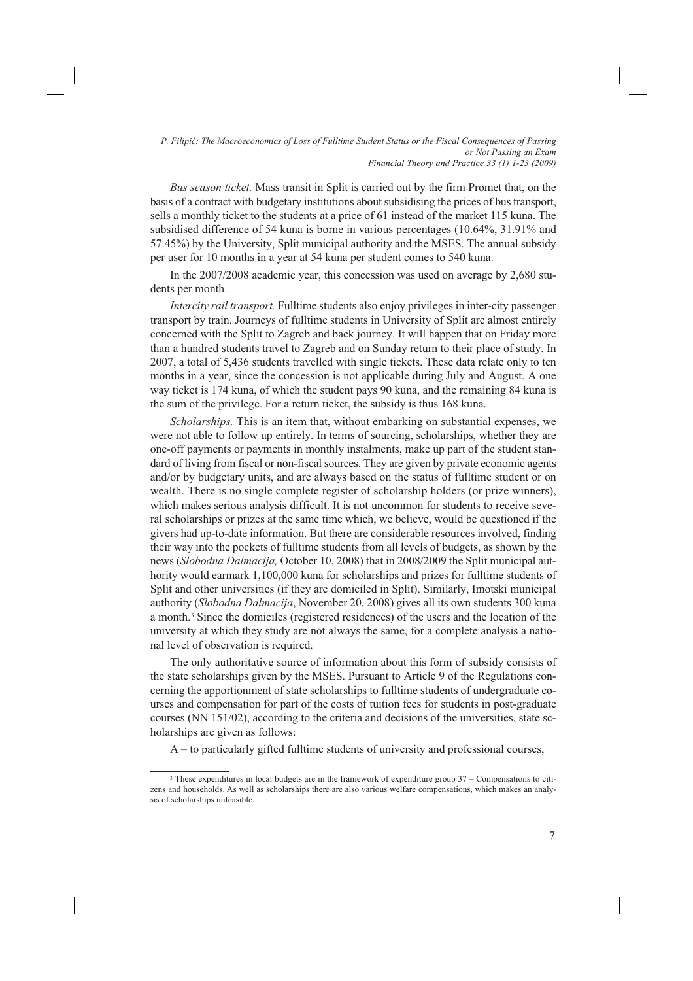*Bus season ticket.* Mass transit in Split is carried out by the firm Promet that, on the basis of a contract with budgetary institutions about subsidising the prices of bus transport, sells a monthly ticket to the students at a price of 61 instead of the market 115 kuna. The subsidised difference of 54 kuna is borne in various percentages (10.64%, 31.91% and 57.45%) by the University, Split municipal authority and the MSES. The annual subsidy per user for 10 months in a year at 54 kuna per student comes to 540 kuna.

In the 2007/2008 academic year, this concession was used on average by 2,680 students per month.

*Intercity rail transport.* Fulltime students also enjoy privileges in inter-city passenger transport by train. Journeys of fulltime students in University of Split are almost entirely concerned with the Split to Zagreb and back journey. It will happen that on Friday more than a hundred students travel to Zagreb and on Sunday return to their place of study. In 2007, a total of 5,436 students travelled with single tickets. These data relate only to ten months in a year, since the concession is not applicable during July and August. A one way ticket is 174 kuna, of which the student pays 90 kuna, and the remaining 84 kuna is the sum of the privilege. For a return ticket, the subsidy is thus 168 kuna.

*Scholarships.* This is an item that, without embarking on substantial expenses, we were not able to follow up entirely. In terms of sourcing, scholarships, whether they are one-off payments or payments in monthly instalments, make up part of the student standard of living from fiscal or non-fiscal sources. They are given by private economic agents and/or by budgetary units, and are always based on the status of fulltime student or on wealth. There is no single complete register of scholarship holders (or prize winners), which makes serious analysis difficult. It is not uncommon for students to receive several scholarships or prizes at the same time which, we believe, would be questioned if the givers had up-to-date information. But there are considerable resources involved, finding their way into the pockets of fulltime students from all levels of budgets, as shown by the news (*Slobodna Dalmacija,* October 10, 2008) that in 2008/2009 the Split municipal authority would earmark 1,100,000 kuna for scholarships and prizes for fulltime students of Split and other universities (if they are domiciled in Split). Similarly, Imotski municipal authority (*Slobodna Dalmacija*, November 20, 2008) gives all its own students 300 kuna a month.3 Since the domiciles (registered residences) of the users and the location of the university at which they study are not always the same, for a complete analysis a national level of observation is required.

The only authoritative source of information about this form of subsidy consists of the state scholarships given by the MSES. Pursuant to Article 9 of the Regulations concerning the apportionment of state scholarships to fulltime students of undergraduate courses and compensation for part of the costs of tuition fees for students in post-graduate courses (NN 151/02), according to the criteria and decisions of the universities, state scholarships are given as follows:

A – to particularly gifted fulltime students of university and professional courses,

<sup>3</sup> These expenditures in local budgets are in the framework of expenditure group 37 – Compensations to citizens and households. As well as scholarships there are also various welfare compensations, which makes an analysis of scholarships unfeasible.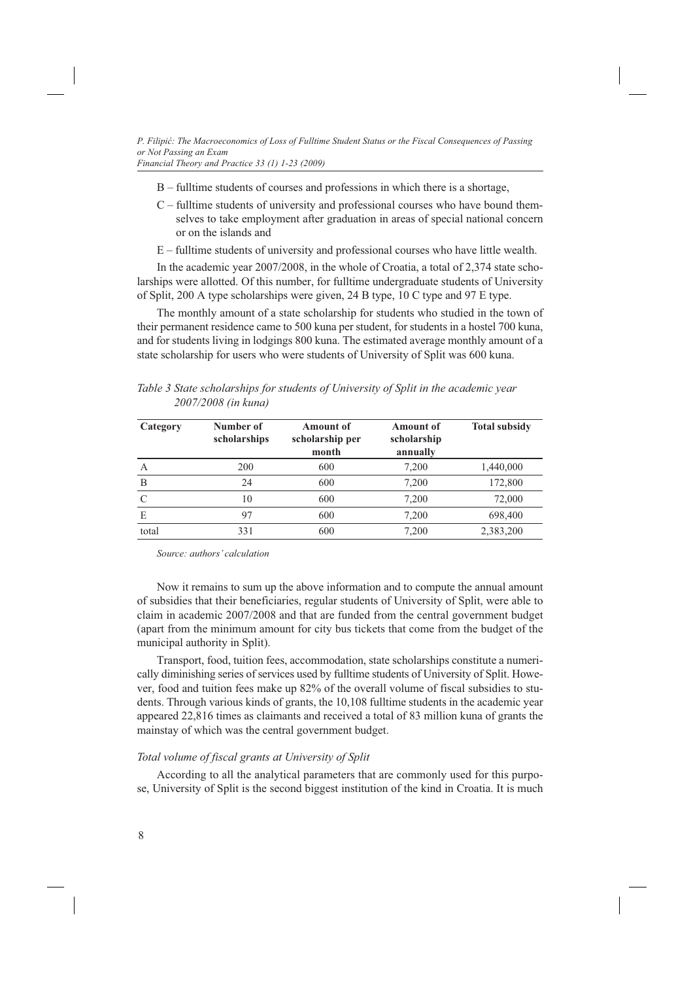- B fulltime students of courses and professions in which there is a shortage,
- C fulltime students of university and professional courses who have bound themselves to take employment after graduation in areas of special national concern or on the islands and
- E fulltime students of university and professional courses who have little wealth.

In the academic year 2007/2008, in the whole of Croatia, a total of 2,374 state scholarships were allotted. Of this number, for fulltime undergraduate students of University of Split, 200 A type scholarships were given, 24 B type, 10 C type and 97 E type.

The monthly amount of a state scholarship for students who studied in the town of their permanent residence came to 500 kuna per student, for students in a hostel 700 kuna, and for students living in lodgings 800 kuna. The estimated average monthly amount of a state scholarship for users who were students of University of Split was 600 kuna.

|          | 2007/2008 (in kuna)       |                                              |                                             |                      |
|----------|---------------------------|----------------------------------------------|---------------------------------------------|----------------------|
| Category | Number of<br>scholarships | <b>Amount of</b><br>scholarship per<br>month | <b>Amount of</b><br>scholarship<br>annually | <b>Total subsidy</b> |

A 200 600 7,200 1,440,000 B 24 600 7,200 172,800 C 10 600 7,200 72,000 E 97 600 7,200 698,400 total 331 600 7,200 2,383,200

*Table 3 State scholarships for students of University of Split in the academic year 2007/2008 (in kuna)*

*Source: authors' calculation*

Now it remains to sum up the above information and to compute the annual amount of subsidies that their beneficiaries, regular students of University of Split, were able to claim in academic 2007/2008 and that are funded from the central government budget (apart from the minimum amount for city bus tickets that come from the budget of the municipal authority in Split).

Transport, food, tuition fees, accommodation, state scholarships constitute a numerically diminishing series of services used by fulltime students of University of Split. However, food and tuition fees make up 82% of the overall volume of fiscal subsidies to students. Through various kinds of grants, the 10,108 fulltime students in the academic year appeared 22,816 times as claimants and received a total of 83 million kuna of grants the mainstay of which was the central government budget.

### *Total volume of fiscal grants at University of Split*

According to all the analytical parameters that are commonly used for this purpose, University of Split is the second biggest institution of the kind in Croatia. It is much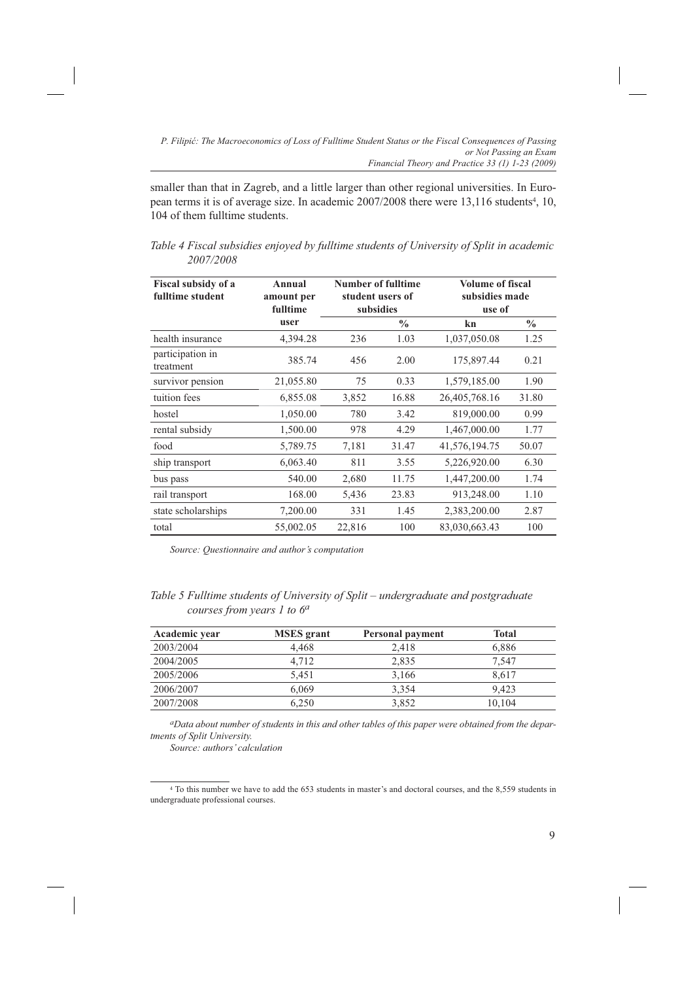smaller than that in Zagreb, and a little larger than other regional universities. In European terms it is of average size. In academic 2007/2008 there were 13,116 students<sup>4</sup>, 10, 104 of them fulltime students.

*Table 4 Fiscal subsidies enjoyed by fulltime students of University of Split in academic 2007/2008*

| Fiscal subsidy of a<br>fulltime student | Annual<br>amount per<br>fulltime |        | Number of fulltime<br>student users of<br>subsidies | <b>Volume of fiscal</b><br>subsidies made<br>use of |               |
|-----------------------------------------|----------------------------------|--------|-----------------------------------------------------|-----------------------------------------------------|---------------|
|                                         | user                             |        | $\frac{0}{0}$                                       | kn                                                  | $\frac{0}{0}$ |
| health insurance                        | 4,394.28                         | 236    | 1.03                                                | 1,037,050.08                                        | 1.25          |
| participation in<br>treatment           | 385.74                           | 456    | 2.00                                                | 175,897.44                                          | 0.21          |
| survivor pension                        | 21,055.80                        | 75     | 0.33                                                | 1,579,185.00                                        | 1.90          |
| tuition fees                            | 6,855.08                         | 3,852  | 16.88                                               | 26,405,768.16                                       | 31.80         |
| hostel                                  | 1,050.00                         | 780    | 3.42                                                | 819,000.00                                          | 0.99          |
| rental subsidy                          | 1,500.00                         | 978    | 4.29                                                | 1,467,000.00                                        | 1.77          |
| food                                    | 5,789.75                         | 7,181  | 31.47                                               | 41,576,194.75                                       | 50.07         |
| ship transport                          | 6,063.40                         | 811    | 3.55                                                | 5,226,920.00                                        | 6.30          |
| bus pass                                | 540.00                           | 2,680  | 11.75                                               | 1,447,200.00                                        | 1.74          |
| rail transport                          | 168.00                           | 5,436  | 23.83                                               | 913,248.00                                          | 1.10          |
| state scholarships                      | 7,200.00                         | 331    | 1.45                                                | 2,383,200.00                                        | 2.87          |
| total                                   | 55,002.05                        | 22,816 | 100                                                 | 83,030,663.43                                       | 100           |

*Source: Questionnaire and author's computation* 

|                               | Table 5 Fulltime students of University of Split - undergraduate and postgraduate |
|-------------------------------|-----------------------------------------------------------------------------------|
| courses from years 1 to $6^a$ |                                                                                   |

| Academic year | <b>MSES</b> grant | <b>Personal payment</b> | <b>Total</b> |
|---------------|-------------------|-------------------------|--------------|
| 2003/2004     | 4.468             | 2.418                   | 6,886        |
| 2004/2005     | 4.712             | 2,835                   | 7.547        |
| 2005/2006     | 5.451             | 3.166                   | 8.617        |
| 2006/2007     | 6.069             | 3.354                   | 9.423        |
| 2007/2008     | 6.250             | 3.852                   | 10.104       |

*aData about number of students in this and other tables of this paper were obtained from the departments of Split University.* 

*Source: authors' calculation*

<sup>4</sup> To this number we have to add the 653 students in master's and doctoral courses, and the 8,559 students in undergraduate professional courses.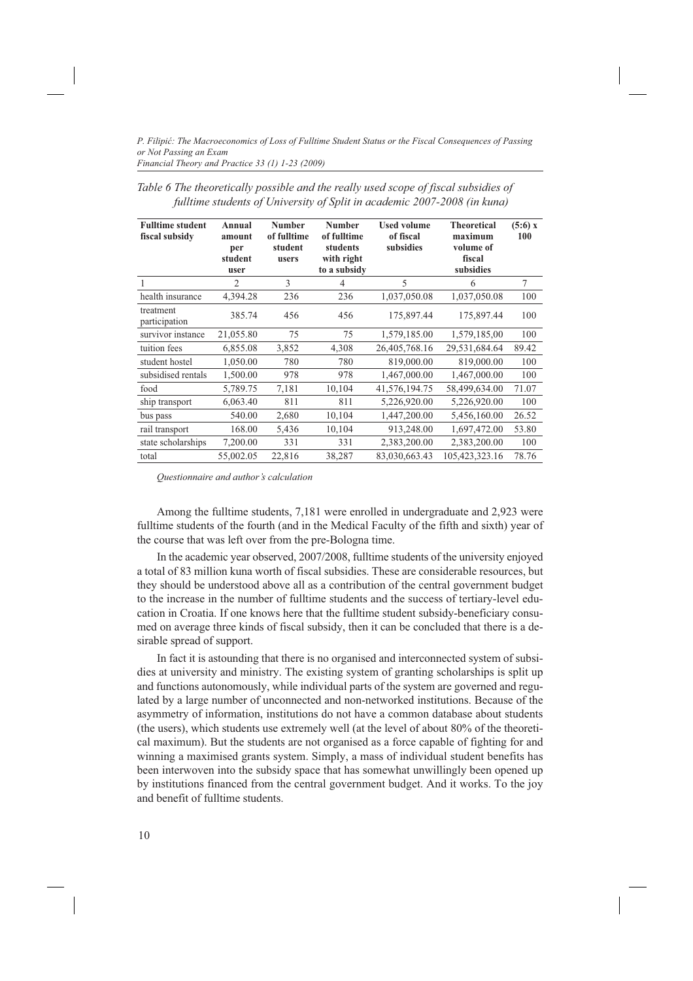| <b>Fulltime student</b><br>fiscal subsidy | Annual<br>amount<br>per<br>student<br>user | Number<br>of fulltime<br>student<br>users | <b>Number</b><br>of fulltime<br>students<br>with right<br>to a subsidy | <b>Used volume</b><br>of fiscal<br>subsidies | <b>Theoretical</b><br>maximum<br>volume of<br>fiscal<br>subsidies | (5:6) x<br>100 |
|-------------------------------------------|--------------------------------------------|-------------------------------------------|------------------------------------------------------------------------|----------------------------------------------|-------------------------------------------------------------------|----------------|
| 1                                         | $\overline{c}$                             | 3                                         | $\overline{4}$                                                         | 5                                            | 6                                                                 | 7              |
| health insurance                          | 4,394.28                                   | 236                                       | 236                                                                    | 1,037,050.08                                 | 1,037,050.08                                                      | 100            |
| treatment<br>participation                | 385.74                                     | 456                                       | 456                                                                    | 175,897.44                                   | 175,897.44                                                        | 100            |
| survivor instance                         | 21,055.80                                  | 75                                        | 75                                                                     | 1,579,185.00                                 | 1,579,185,00                                                      | 100            |
| tuition fees                              | 6,855.08                                   | 3,852                                     | 4,308                                                                  | 26,405,768.16                                | 29,531,684.64                                                     | 89.42          |
| student hostel                            | 1,050.00                                   | 780                                       | 780                                                                    | 819,000.00                                   | 819,000.00                                                        | 100            |
| subsidised rentals                        | 1,500.00                                   | 978                                       | 978                                                                    | 1,467,000.00                                 | 1.467.000.00                                                      | 100            |
| food                                      | 5,789.75                                   | 7,181                                     | 10,104                                                                 | 41,576,194.75                                | 58,499,634.00                                                     | 71.07          |
| ship transport                            | 6,063.40                                   | 811                                       | 811                                                                    | 5,226,920.00                                 | 5,226,920.00                                                      | 100            |
| bus pass                                  | 540.00                                     | 2,680                                     | 10,104                                                                 | 1,447,200.00                                 | 5,456,160.00                                                      | 26.52          |
| rail transport                            | 168.00                                     | 5,436                                     | 10,104                                                                 | 913,248.00                                   | 1,697,472.00                                                      | 53.80          |
| state scholarships                        | 7,200.00                                   | 331                                       | 331                                                                    | 2,383,200.00                                 | 2,383,200.00                                                      | 100            |
| total                                     | 55,002.05                                  | 22,816                                    | 38,287                                                                 | 83,030,663.43                                | 105,423,323.16                                                    | 78.76          |

*Table 6 The theoretically possible and the really used scope of fiscal subsidies of fulltime students of University of Split in academic 2007-2008 (in kuna)*

*Questionnaire and author's calculation*

Among the fulltime students, 7,181 were enrolled in undergraduate and 2,923 were fulltime students of the fourth (and in the Medical Faculty of the fifth and sixth) year of the course that was left over from the pre-Bologna time.

In the academic year observed, 2007/2008, fulltime students of the university enjoyed a total of 83 million kuna worth of fiscal subsidies. These are considerable resources, but they should be understood above all as a contribution of the central government budget to the increase in the number of fulltime students and the success of tertiary-level education in Croatia. If one knows here that the fulltime student subsidy-beneficiary consumed on average three kinds of fiscal subsidy, then it can be concluded that there is a desirable spread of support.

In fact it is astounding that there is no organised and interconnected system of subsidies at university and ministry. The existing system of granting scholarships is split up and functions autonomously, while individual parts of the system are governed and regulated by a large number of unconnected and non-networked institutions. Because of the asymmetry of information, institutions do not have a common database about students (the users), which students use extremely well (at the level of about 80% of the theoretical maximum). But the students are not organised as a force capable of fighting for and winning a maximised grants system. Simply, a mass of individual student benefits has been interwoven into the subsidy space that has somewhat unwillingly been opened up by institutions financed from the central government budget. And it works. To the joy and benefit of fulltime students.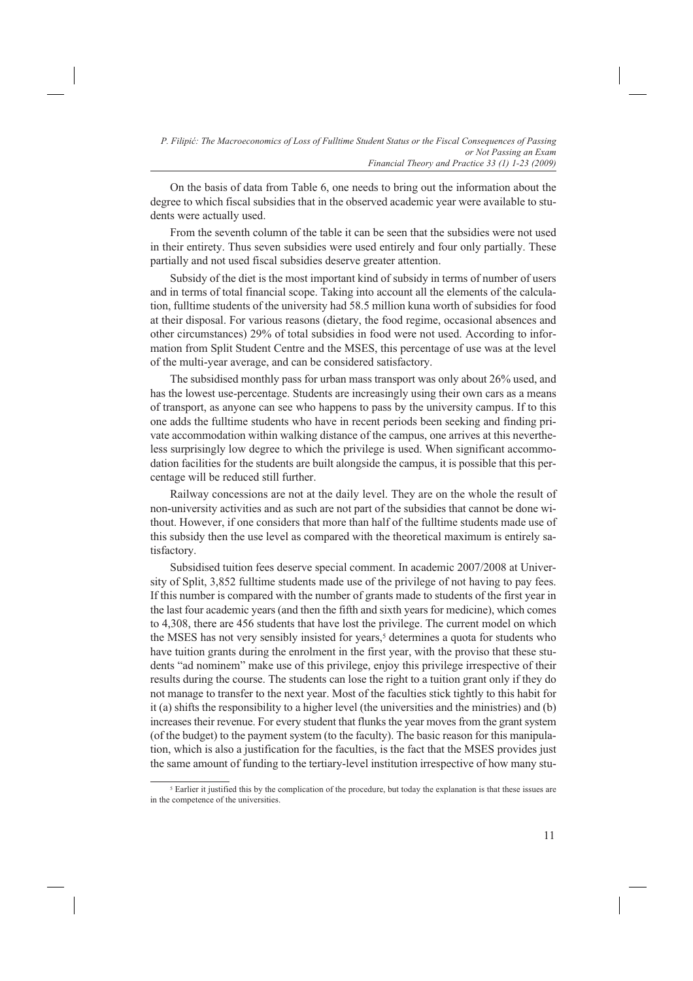On the basis of data from Table 6, one needs to bring out the information about the degree to which fiscal subsidies that in the observed academic year were available to students were actually used.

From the seventh column of the table it can be seen that the subsidies were not used in their entirety. Thus seven subsidies were used entirely and four only partially. These partially and not used fiscal subsidies deserve greater attention.

Subsidy of the diet is the most important kind of subsidy in terms of number of users and in terms of total financial scope. Taking into account all the elements of the calculation, fulltime students of the university had 58.5 million kuna worth of subsidies for food at their disposal. For various reasons (dietary, the food regime, occasional absences and other circumstances) 29% of total subsidies in food were not used. According to information from Split Student Centre and the MSES, this percentage of use was at the level of the multi-year average, and can be considered satisfactory.

The subsidised monthly pass for urban mass transport was only about 26% used, and has the lowest use-percentage. Students are increasingly using their own cars as a means of transport, as anyone can see who happens to pass by the university campus. If to this one adds the fulltime students who have in recent periods been seeking and finding private accommodation within walking distance of the campus, one arrives at this nevertheless surprisingly low degree to which the privilege is used. When significant accommodation facilities for the students are built alongside the campus, it is possible that this percentage will be reduced still further.

Railway concessions are not at the daily level. They are on the whole the result of non-university activities and as such are not part of the subsidies that cannot be done without. However, if one considers that more than half of the fulltime students made use of this subsidy then the use level as compared with the theoretical maximum is entirely satisfactory.

Subsidised tuition fees deserve special comment. In academic 2007/2008 at University of Split, 3,852 fulltime students made use of the privilege of not having to pay fees. If this number is compared with the number of grants made to students of the first year in the last four academic years (and then the fifth and sixth years for medicine), which comes to 4,308, there are 456 students that have lost the privilege. The current model on which the MSES has not very sensibly insisted for years,<sup>5</sup> determines a quota for students who have tuition grants during the enrolment in the first year, with the proviso that these students "ad nominem" make use of this privilege, enjoy this privilege irrespective of their results during the course. The students can lose the right to a tuition grant only if they do not manage to transfer to the next year. Most of the faculties stick tightly to this habit for it (a) shifts the responsibility to a higher level (the universities and the ministries) and (b) increases their revenue. For every student that flunks the year moves from the grant system (of the budget) to the payment system (to the faculty). The basic reason for this manipulation, which is also a justification for the faculties, is the fact that the MSES provides just the same amount of funding to the tertiary-level institution irrespective of how many stu-

<sup>&</sup>lt;sup>5</sup> Earlier it justified this by the complication of the procedure, but today the explanation is that these issues are in the competence of the universities.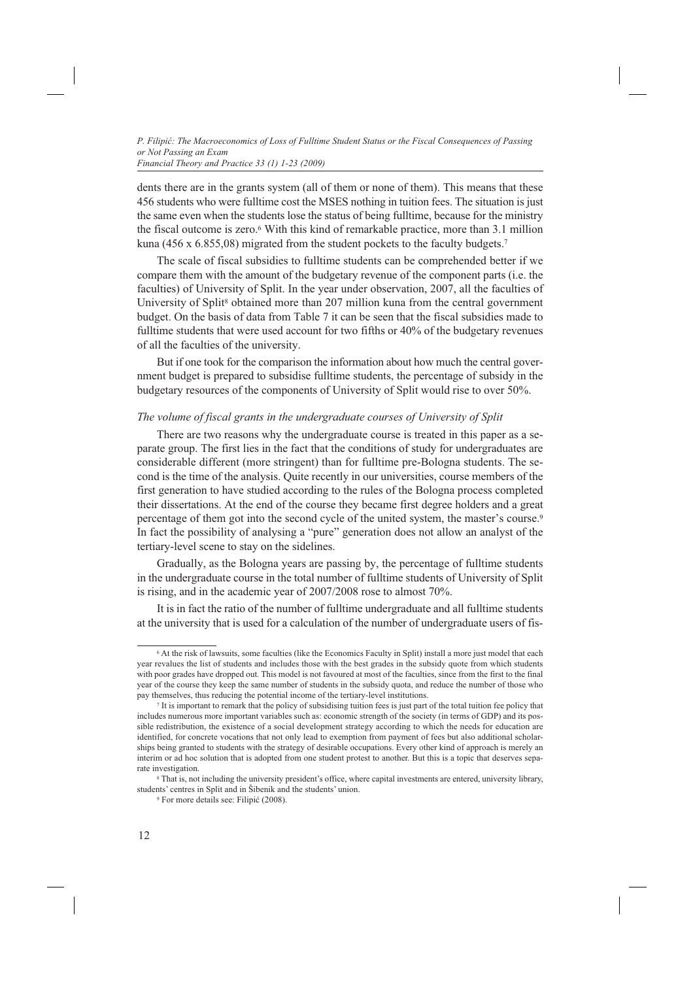dents there are in the grants system (all of them or none of them). This means that these 456 students who were fulltime cost the MSES nothing in tuition fees. The situation is just the same even when the students lose the status of being fulltime, because for the ministry the fiscal outcome is zero.6 With this kind of remarkable practice, more than 3.1 million kuna (456 x 6.855,08) migrated from the student pockets to the faculty budgets.<sup>7</sup>

The scale of fiscal subsidies to fulltime students can be comprehended better if we compare them with the amount of the budgetary revenue of the component parts (i.e. the faculties) of University of Split. In the year under observation, 2007, all the faculties of University of Split<sup>8</sup> obtained more than 207 million kuna from the central government budget. On the basis of data from Table 7 it can be seen that the fiscal subsidies made to fulltime students that were used account for two fifths or 40% of the budgetary revenues of all the faculties of the university.

But if one took for the comparison the information about how much the central government budget is prepared to subsidise fulltime students, the percentage of subsidy in the budgetary resources of the components of University of Split would rise to over 50%.

### *The volume of fiscal grants in the undergraduate courses of University of Split*

There are two reasons why the undergraduate course is treated in this paper as a separate group. The first lies in the fact that the conditions of study for undergraduates are considerable different (more stringent) than for fulltime pre-Bologna students. The second is the time of the analysis. Quite recently in our universities, course members of the first generation to have studied according to the rules of the Bologna process completed their dissertations. At the end of the course they became first degree holders and a great percentage of them got into the second cycle of the united system, the master's course.9 In fact the possibility of analysing a "pure" generation does not allow an analyst of the tertiary-level scene to stay on the sidelines.

Gradually, as the Bologna years are passing by, the percentage of fulltime students in the undergraduate course in the total number of fulltime students of University of Split is rising, and in the academic year of 2007/2008 rose to almost 70%.

It is in fact the ratio of the number of fulltime undergraduate and all fulltime students at the university that is used for a calculation of the number of undergraduate users of fis-

<sup>6</sup> At the risk of lawsuits, some faculties (like the Economics Faculty in Split) install a more just model that each year revalues the list of students and includes those with the best grades in the subsidy quote from which students with poor grades have dropped out. This model is not favoured at most of the faculties, since from the first to the final year of the course they keep the same number of students in the subsidy quota, and reduce the number of those who pay themselves, thus reducing the potential income of the tertiary-level institutions.<br><sup>7</sup> It is important to remark that the policy of subsidising tuition fees is just part of the total tuition fee policy that

includes numerous more important variables such as: economic strength of the society (in terms of GDP) and its possible redistribution, the existence of a social development strategy according to which the needs for education are identified, for concrete vocations that not only lead to exemption from payment of fees but also additional scholarships being granted to students with the strategy of desirable occupations. Every other kind of approach is merely an interim or ad hoc solution that is adopted from one student protest to another. But this is a topic that deserves separate investigation.<br><sup>8</sup> That is, not including the university president's office, where capital investments are entered, university library,

students' centres in Split and in Šibenik and the students' union.<br>
<sup>9</sup> For more details see: Filipić (2008).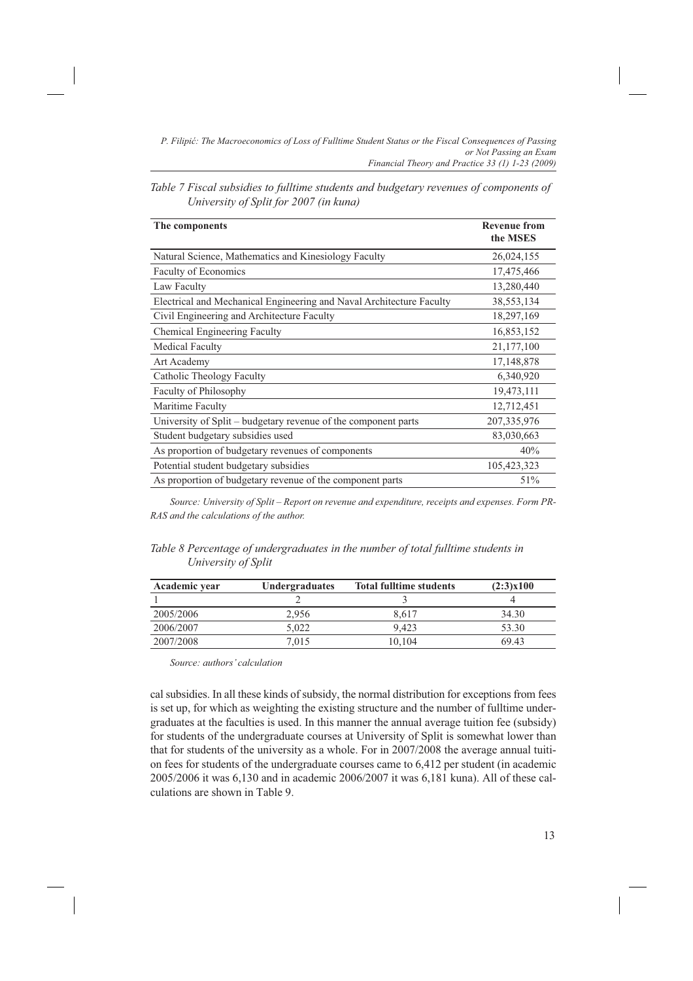| The components                                                       | <b>Revenue from</b><br>the MSES |
|----------------------------------------------------------------------|---------------------------------|
| Natural Science, Mathematics and Kinesiology Faculty                 | 26,024,155                      |
| Faculty of Economics                                                 | 17,475,466                      |
| Law Faculty                                                          | 13,280,440                      |
| Electrical and Mechanical Engineering and Naval Architecture Faculty | 38,553,134                      |
| Civil Engineering and Architecture Faculty                           | 18,297,169                      |
| Chemical Engineering Faculty                                         | 16,853,152                      |
| <b>Medical Faculty</b>                                               | 21,177,100                      |
| Art Academy                                                          | 17,148,878                      |
| Catholic Theology Faculty                                            | 6,340,920                       |
| Faculty of Philosophy                                                | 19,473,111                      |
| Maritime Faculty                                                     | 12,712,451                      |
| University of Split – budgetary revenue of the component parts       | 207, 335, 976                   |
| Student budgetary subsidies used                                     | 83,030,663                      |
| As proportion of budgetary revenues of components                    | 40%                             |
| Potential student budgetary subsidies                                | 105,423,323                     |
| As proportion of budgetary revenue of the component parts            | 51%                             |

| Table 7 Fiscal subsidies to fulltime students and budgetary revenues of components of |  |
|---------------------------------------------------------------------------------------|--|
| University of Split for 2007 (in kuna)                                                |  |

*Source: University of Split – Report on revenue and expenditure, receipts and expenses. Form PR-RAS and the calculations of the author.* 

*Table 8 Percentage of undergraduates in the number of total fulltime students in University of Split*

| Academic year | Undergraduates | <b>Total fulltime students</b> | (2:3)x100 |
|---------------|----------------|--------------------------------|-----------|
|               |                |                                |           |
| 2005/2006     | 2.956          | 8.617                          | 34.30     |
| 2006/2007     | 5.022          | 9.423                          | 53.30     |
| 2007/2008     | 7,015          | 10.104                         | 69.43     |

*Source: authors' calculation*

cal subsidies. In all these kinds of subsidy, the normal distribution for exceptions from fees is set up, for which as weighting the existing structure and the number of fulltime undergraduates at the faculties is used. In this manner the annual average tuition fee (subsidy) for students of the undergraduate courses at University of Split is somewhat lower than that for students of the university as a whole. For in 2007/2008 the average annual tuition fees for students of the undergraduate courses came to 6,412 per student (in academic 2005/2006 it was 6,130 and in academic 2006/2007 it was 6,181 kuna). All of these calculations are shown in Table 9.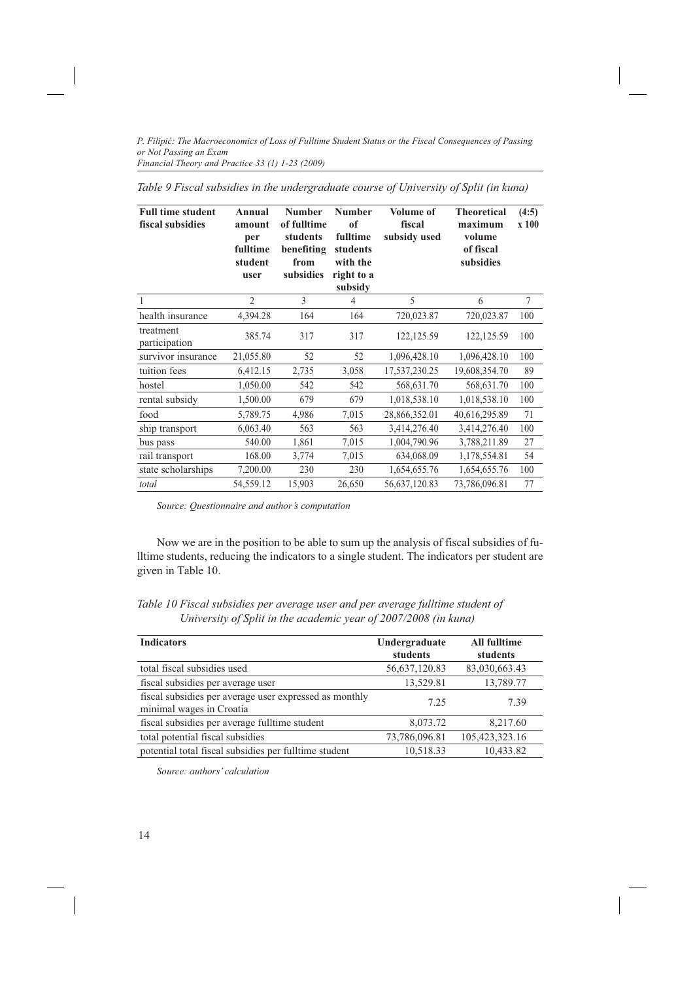| <b>Full time student</b><br>fiscal subsidies | Annual<br>amount<br>per<br>fulltime<br>student<br>user | <b>Number</b><br>of fulltime<br>students<br>benefiting<br>from<br>subsidies | <b>Number</b><br>of<br>fulltime<br>students<br>with the<br>right to a<br>subsidy | Volume of<br>fiscal<br>subsidy used | <b>Theoretical</b><br>maximum<br>volume<br>of fiscal<br>subsidies | (4:5)<br>x 100 |
|----------------------------------------------|--------------------------------------------------------|-----------------------------------------------------------------------------|----------------------------------------------------------------------------------|-------------------------------------|-------------------------------------------------------------------|----------------|
|                                              | $\overline{c}$                                         | $\mathcal{E}$                                                               | $\overline{4}$                                                                   | 5                                   | 6                                                                 | 7              |
| health insurance                             | 4,394.28                                               | 164                                                                         | 164                                                                              | 720,023.87                          | 720,023.87                                                        | 100            |
| treatment<br>participation                   | 385.74                                                 | 317                                                                         | 317                                                                              | 122, 125.59                         | 122,125.59                                                        | 100            |
| survivor insurance                           | 21,055.80                                              | 52                                                                          | 52                                                                               | 1,096,428.10                        | 1,096,428.10                                                      | 100            |
| tuition fees                                 | 6,412.15                                               | 2,735                                                                       | 3,058                                                                            | 17,537,230.25                       | 19,608,354.70                                                     | 89             |
| hostel                                       | 1,050.00                                               | 542                                                                         | 542                                                                              | 568,631.70                          | 568,631.70                                                        | 100            |
| rental subsidy                               | 1,500.00                                               | 679                                                                         | 679                                                                              | 1,018,538.10                        | 1,018,538.10                                                      | 100            |
| food                                         | 5,789.75                                               | 4,986                                                                       | 7,015                                                                            | 28,866,352.01                       | 40,616,295.89                                                     | 71             |
| ship transport                               | 6,063.40                                               | 563                                                                         | 563                                                                              | 3,414,276.40                        | 3,414,276.40                                                      | 100            |
| bus pass                                     | 540.00                                                 | 1,861                                                                       | 7,015                                                                            | 1,004,790.96                        | 3,788,211.89                                                      | 27             |
| rail transport                               | 168.00                                                 | 3,774                                                                       | 7,015                                                                            | 634,068.09                          | 1,178,554.81                                                      | 54             |
| state scholarships                           | 7,200.00                                               | 230                                                                         | 230                                                                              | 1,654,655.76                        | 1,654,655.76                                                      | 100            |
| total                                        | 54,559.12                                              | 15,903                                                                      | 26,650                                                                           | 56,637,120.83                       | 73,786,096.81                                                     | 77             |

| Table 9 Fiscal subsidies in the undergraduate course of University of Split (in kuna) |  |
|---------------------------------------------------------------------------------------|--|
|---------------------------------------------------------------------------------------|--|

*Source: Questionnaire and author's computation*

Now we are in the position to be able to sum up the analysis of fiscal subsidies of fulltime students, reducing the indicators to a single student. The indicators per student are given in Table 10.

| Table 10 Fiscal subsidies per average user and per average fulltime student of |  |
|--------------------------------------------------------------------------------|--|
| University of Split in the academic year of 2007/2008 (in kuna)                |  |

| <b>Indicators</b>                                                                  | Undergraduate<br>students | <b>All fulltime</b><br>students |
|------------------------------------------------------------------------------------|---------------------------|---------------------------------|
| total fiscal subsidies used                                                        | 56,637,120.83             | 83,030,663.43                   |
| fiscal subsidies per average user                                                  | 13,529.81                 | 13,789.77                       |
| fiscal subsidies per average user expressed as monthly<br>minimal wages in Croatia | 7.25                      | 7.39                            |
| fiscal subsidies per average fulltime student                                      | 8,073.72                  | 8,217.60                        |
| total potential fiscal subsidies                                                   | 73,786,096.81             | 105,423,323.16                  |
| potential total fiscal subsidies per fulltime student                              | 10,518.33                 | 10,433.82                       |

*Source: authors' calculation*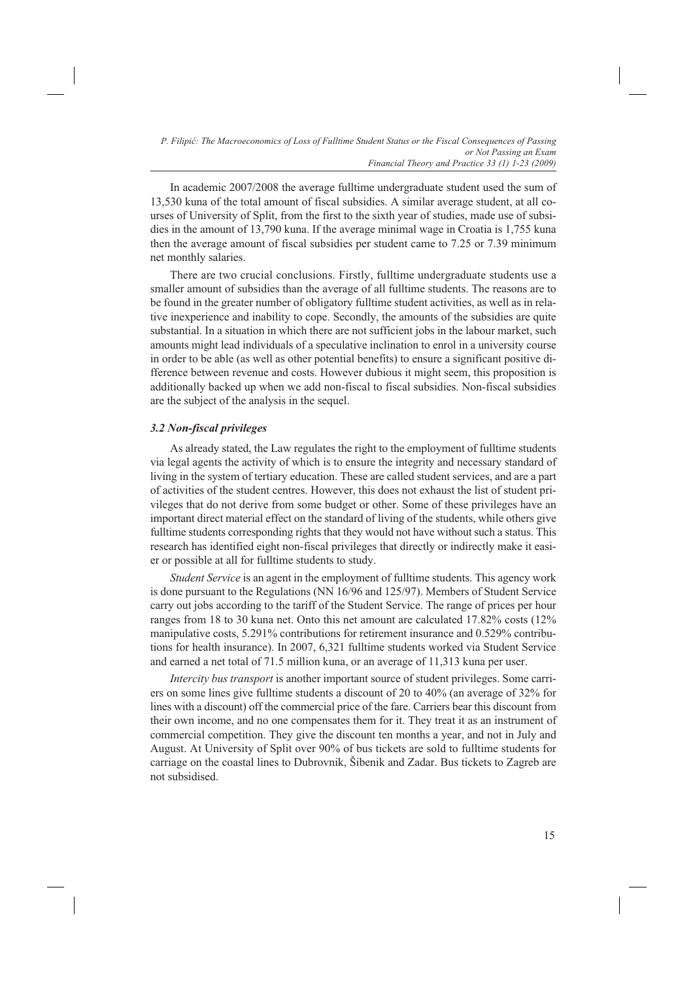In academic 2007/2008 the average fulltime undergraduate student used the sum of 13,530 kuna of the total amount of fiscal subsidies. A similar average student, at all courses of University of Split, from the first to the sixth year of studies, made use of subsidies in the amount of 13,790 kuna. If the average minimal wage in Croatia is 1,755 kuna then the average amount of fiscal subsidies per student came to 7.25 or 7.39 minimum net monthly salaries.

There are two crucial conclusions. Firstly, fulltime undergraduate students use a smaller amount of subsidies than the average of all fulltime students. The reasons are to be found in the greater number of obligatory fulltime student activities, as well as in relative inexperience and inability to cope. Secondly, the amounts of the subsidies are quite substantial. In a situation in which there are not sufficient jobs in the labour market, such amounts might lead individuals of a speculative inclination to enrol in a university course in order to be able (as well as other potential benefits) to ensure a significant positive difference between revenue and costs. However dubious it might seem, this proposition is additionally backed up when we add non-fiscal to fiscal subsidies. Non-fiscal subsidies are the subject of the analysis in the sequel.

# *3.2 Non-fiscal privileges*

As already stated, the Law regulates the right to the employment of fulltime students via legal agents the activity of which is to ensure the integrity and necessary standard of living in the system of tertiary education. These are called student services, and are a part of activities of the student centres. However, this does not exhaust the list of student privileges that do not derive from some budget or other. Some of these privileges have an important direct material effect on the standard of living of the students, while others give fulltime students corresponding rights that they would not have without such a status. This research has identified eight non-fiscal privileges that directly or indirectly make it easier or possible at all for fulltime students to study.

*Student Service* is an agent in the employment of fulltime students. This agency work is done pursuant to the Regulations (NN 16/96 and 125/97). Members of Student Service carry out jobs according to the tariff of the Student Service. The range of prices per hour ranges from 18 to 30 kuna net. Onto this net amount are calculated 17.82% costs (12% manipulative costs, 5.291% contributions for retirement insurance and 0.529% contributions for health insurance). In 2007, 6,321 fulltime students worked via Student Service and earned a net total of 71.5 million kuna, or an average of 11,313 kuna per user.

*Intercity bus transport* is another important source of student privileges. Some carriers on some lines give fulltime students a discount of 20 to 40% (an average of 32% for lines with a discount) off the commercial price of the fare. Carriers bear this discount from their own income, and no one compensates them for it. They treat it as an instrument of commercial competition. They give the discount ten months a year, and not in July and August. At University of Split over 90% of bus tickets are sold to fulltime students for carriage on the coastal lines to Dubrovnik, Šibenik and Zadar. Bus tickets to Zagreb are not subsidised.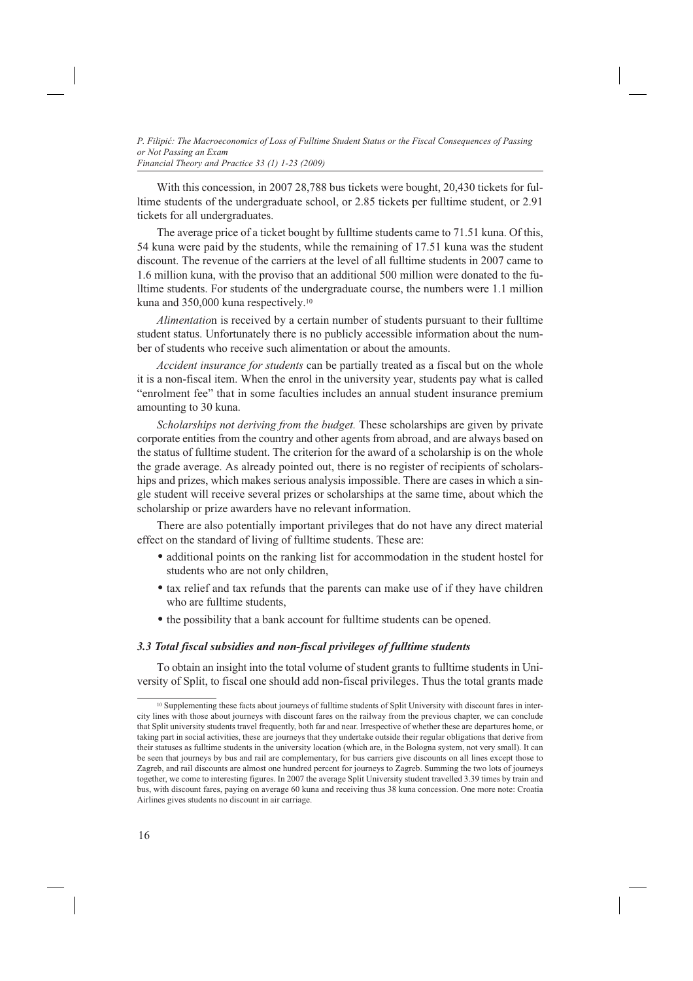With this concession, in 2007 28,788 bus tickets were bought, 20,430 tickets for fulltime students of the undergraduate school, or 2.85 tickets per fulltime student, or 2.91 tickets for all undergraduates.

The average price of a ticket bought by fulltime students came to 71.51 kuna. Of this, 54 kuna were paid by the students, while the remaining of 17.51 kuna was the student discount. The revenue of the carriers at the level of all fulltime students in 2007 came to 1.6 million kuna, with the proviso that an additional 500 million were donated to the fulltime students. For students of the undergraduate course, the numbers were 1.1 million kuna and 350,000 kuna respectively.10

*Alimentatio*n is received by a certain number of students pursuant to their fulltime student status. Unfortunately there is no publicly accessible information about the number of students who receive such alimentation or about the amounts.

*Accident insurance for students* can be partially treated as a fiscal but on the whole it is a non-fiscal item. When the enrol in the university year, students pay what is called "enrolment fee" that in some faculties includes an annual student insurance premium amounting to 30 kuna.

*Scholarships not deriving from the budget.* These scholarships are given by private corporate entities from the country and other agents from abroad, and are always based on the status of fulltime student. The criterion for the award of a scholarship is on the whole the grade average. As already pointed out, there is no register of recipients of scholarships and prizes, which makes serious analysis impossible. There are cases in which a single student will receive several prizes or scholarships at the same time, about which the scholarship or prize awarders have no relevant information.

There are also potentially important privileges that do not have any direct material effect on the standard of living of fulltime students. These are:

- additional points on the ranking list for accommodation in the student hostel for students who are not only children,
- tax relief and tax refunds that the parents can make use of if they have children who are fulltime students.
- the possibility that a bank account for fulltime students can be opened.

### *3.3 Total fiscal subsidies and non-fiscal privileges of fulltime students*

To obtain an insight into the total volume of student grants to fulltime students in University of Split, to fiscal one should add non-fiscal privileges. Thus the total grants made

<sup>&</sup>lt;sup>10</sup> Supplementing these facts about journeys of fulltime students of Split University with discount fares in intercity lines with those about journeys with discount fares on the railway from the previous chapter, we can conclude that Split university students travel frequently, both far and near. Irrespective of whether these are departures home, or taking part in social activities, these are journeys that they undertake outside their regular obligations that derive from their statuses as fulltime students in the university location (which are, in the Bologna system, not very small). It can be seen that journeys by bus and rail are complementary, for bus carriers give discounts on all lines except those to Zagreb, and rail discounts are almost one hundred percent for journeys to Zagreb. Summing the two lots of journeys together, we come to interesting figures. In 2007 the average Split University student travelled 3.39 times by train and bus, with discount fares, paying on average 60 kuna and receiving thus 38 kuna concession. One more note: Croatia Airlines gives students no discount in air carriage.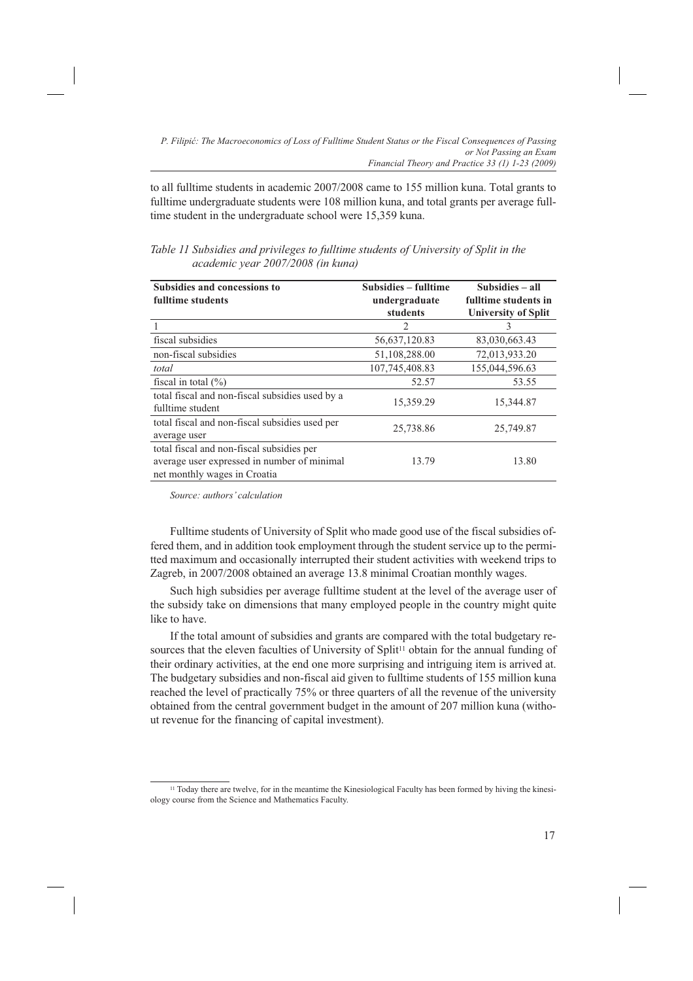to all fulltime students in academic 2007/2008 came to 155 million kuna. Total grants to fulltime undergraduate students were 108 million kuna, and total grants per average fulltime student in the undergraduate school were 15,359 kuna.

| <b>Subsidies and concessions to</b>             | Subsidies – fulltime | Subsidies - all            |  |
|-------------------------------------------------|----------------------|----------------------------|--|
| fulltime students                               | undergraduate        | fulltime students in       |  |
|                                                 | students             | <b>University of Split</b> |  |
|                                                 | 2                    | 3                          |  |
| fiscal subsidies                                | 56,637,120.83        | 83,030,663.43              |  |
| non-fiscal subsidies                            | 51,108,288.00        | 72,013,933.20              |  |
| total                                           | 107,745,408.83       | 155,044,596.63             |  |
| fiscal in total $(\% )$                         | 52.57                | 53.55                      |  |
| total fiscal and non-fiscal subsidies used by a |                      |                            |  |
| fulltime student                                | 15,359.29            | 15,344.87                  |  |
| total fiscal and non-fiscal subsidies used per  | 25,738.86            | 25,749.87                  |  |
| average user                                    |                      |                            |  |
| total fiscal and non-fiscal subsidies per       |                      |                            |  |
| average user expressed in number of minimal     | 13.79                | 13.80                      |  |
| net monthly wages in Croatia                    |                      |                            |  |

*Table 11 Subsidies and privileges to fulltime students of University of Split in the academic year 2007/2008 (in kuna)*

*Source: authors' calculation*

Fulltime students of University of Split who made good use of the fiscal subsidies offered them, and in addition took employment through the student service up to the permitted maximum and occasionally interrupted their student activities with weekend trips to Zagreb, in 2007/2008 obtained an average 13.8 minimal Croatian monthly wages.

Such high subsidies per average fulltime student at the level of the average user of the subsidy take on dimensions that many employed people in the country might quite like to have.

If the total amount of subsidies and grants are compared with the total budgetary resources that the eleven faculties of University of Split<sup>11</sup> obtain for the annual funding of their ordinary activities, at the end one more surprising and intriguing item is arrived at. The budgetary subsidies and non-fiscal aid given to fulltime students of 155 million kuna reached the level of practically 75% or three quarters of all the revenue of the university obtained from the central government budget in the amount of 207 million kuna (without revenue for the financing of capital investment).

<sup>11</sup> Today there are twelve, for in the meantime the Kinesiological Faculty has been formed by hiving the kinesiology course from the Science and Mathematics Faculty.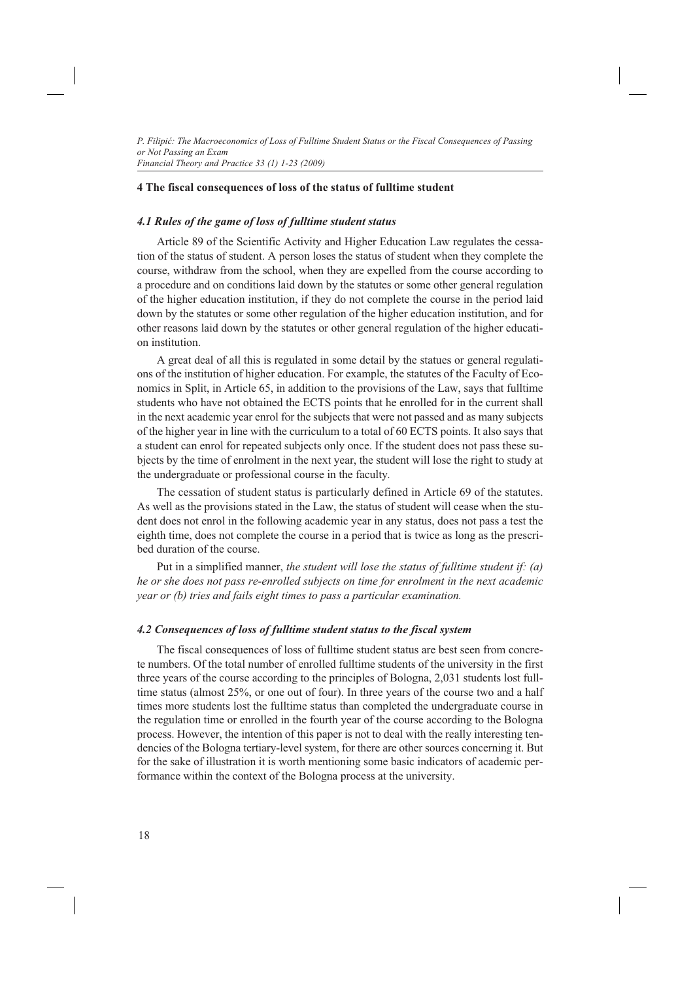### **4 The fiscal consequences of loss of the status of fulltime student**

### *4.1 Rules of the game of loss of fulltime student status*

Article 89 of the Scientific Activity and Higher Education Law regulates the cessation of the status of student. A person loses the status of student when they complete the course, withdraw from the school, when they are expelled from the course according to a procedure and on conditions laid down by the statutes or some other general regulation of the higher education institution, if they do not complete the course in the period laid down by the statutes or some other regulation of the higher education institution, and for other reasons laid down by the statutes or other general regulation of the higher education institution.

A great deal of all this is regulated in some detail by the statues or general regulations of the institution of higher education. For example, the statutes of the Faculty of Economics in Split, in Article 65, in addition to the provisions of the Law, says that fulltime students who have not obtained the ECTS points that he enrolled for in the current shall in the next academic year enrol for the subjects that were not passed and as many subjects of the higher year in line with the curriculum to a total of 60 ECTS points. It also says that a student can enrol for repeated subjects only once. If the student does not pass these subjects by the time of enrolment in the next year, the student will lose the right to study at the undergraduate or professional course in the faculty*.*

The cessation of student status is particularly defined in Article 69 of the statutes. As well as the provisions stated in the Law, the status of student will cease when the student does not enrol in the following academic year in any status, does not pass a test the eighth time, does not complete the course in a period that is twice as long as the prescribed duration of the course.

Put in a simplified manner, *the student will lose the status of fulltime student if: (a) he or she does not pass re-enrolled subjects on time for enrolment in the next academic year or (b) tries and fails eight times to pass a particular examination.*

### *4.2 Consequences of loss of fulltime student status to the fiscal system*

The fiscal consequences of loss of fulltime student status are best seen from concrete numbers. Of the total number of enrolled fulltime students of the university in the first three years of the course according to the principles of Bologna, 2,031 students lost fulltime status (almost 25%, or one out of four). In three years of the course two and a half times more students lost the fulltime status than completed the undergraduate course in the regulation time or enrolled in the fourth year of the course according to the Bologna process. However, the intention of this paper is not to deal with the really interesting tendencies of the Bologna tertiary-level system, for there are other sources concerning it. But for the sake of illustration it is worth mentioning some basic indicators of academic performance within the context of the Bologna process at the university.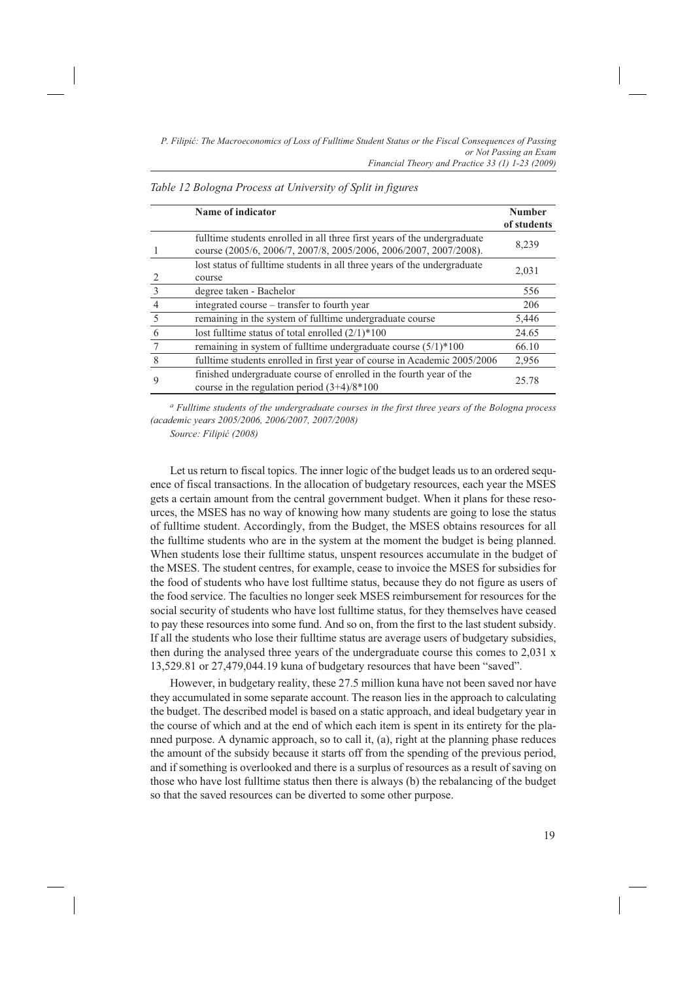|                | Name of indicator                                                                                                                             | <b>Number</b><br>of students |
|----------------|-----------------------------------------------------------------------------------------------------------------------------------------------|------------------------------|
|                | fulltime students enrolled in all three first years of the undergraduate<br>course (2005/6, 2006/7, 2007/8, 2005/2006, 2006/2007, 2007/2008). | 8,239                        |
|                | lost status of fulltime students in all three years of the undergraduate<br>course                                                            | 2,031                        |
| $\mathcal{R}$  | degree taken - Bachelor                                                                                                                       | 556                          |
| $\overline{4}$ | integrated course – transfer to fourth year                                                                                                   | 206                          |
| 5              | remaining in the system of fulltime undergraduate course                                                                                      | 5,446                        |
| 6              | lost fulltime status of total enrolled $(2/1)*100$                                                                                            | 24.65                        |
|                | remaining in system of fulltime undergraduate course $(5/1)*100$                                                                              | 66.10                        |
| 8              | fulltime students enrolled in first year of course in Academic 2005/2006                                                                      | 2,956                        |
| 9              | finished undergraduate course of enrolled in the fourth year of the<br>course in the regulation period $(3+4)/8*100$                          | 25.78                        |

*Table 12 Bologna Process at University of Split in figures*

*a Fulltime students of the undergraduate courses in the first three years of the Bologna process (academic years 2005/2006, 2006/2007, 2007/2008)*

*Source: Filipić (2008)*

Let us return to fiscal topics. The inner logic of the budget leads us to an ordered sequence of fiscal transactions. In the allocation of budgetary resources, each year the MSES gets a certain amount from the central government budget. When it plans for these resources, the MSES has no way of knowing how many students are going to lose the status of fulltime student. Accordingly, from the Budget, the MSES obtains resources for all the fulltime students who are in the system at the moment the budget is being planned. When students lose their fulltime status, unspent resources accumulate in the budget of the MSES. The student centres, for example, cease to invoice the MSES for subsidies for the food of students who have lost fulltime status, because they do not figure as users of the food service. The faculties no longer seek MSES reimbursement for resources for the social security of students who have lost fulltime status, for they themselves have ceased to pay these resources into some fund. And so on, from the first to the last student subsidy. If all the students who lose their fulltime status are average users of budgetary subsidies, then during the analysed three years of the undergraduate course this comes to 2,031 x 13,529.81 or 27,479,044.19 kuna of budgetary resources that have been "saved".

However, in budgetary reality, these 27.5 million kuna have not been saved nor have they accumulated in some separate account. The reason lies in the approach to calculating the budget. The described model is based on a static approach, and ideal budgetary year in the course of which and at the end of which each item is spent in its entirety for the planned purpose. A dynamic approach, so to call it, (a), right at the planning phase reduces the amount of the subsidy because it starts off from the spending of the previous period, and if something is overlooked and there is a surplus of resources as a result of saving on those who have lost fulltime status then there is always (b) the rebalancing of the budget so that the saved resources can be diverted to some other purpose.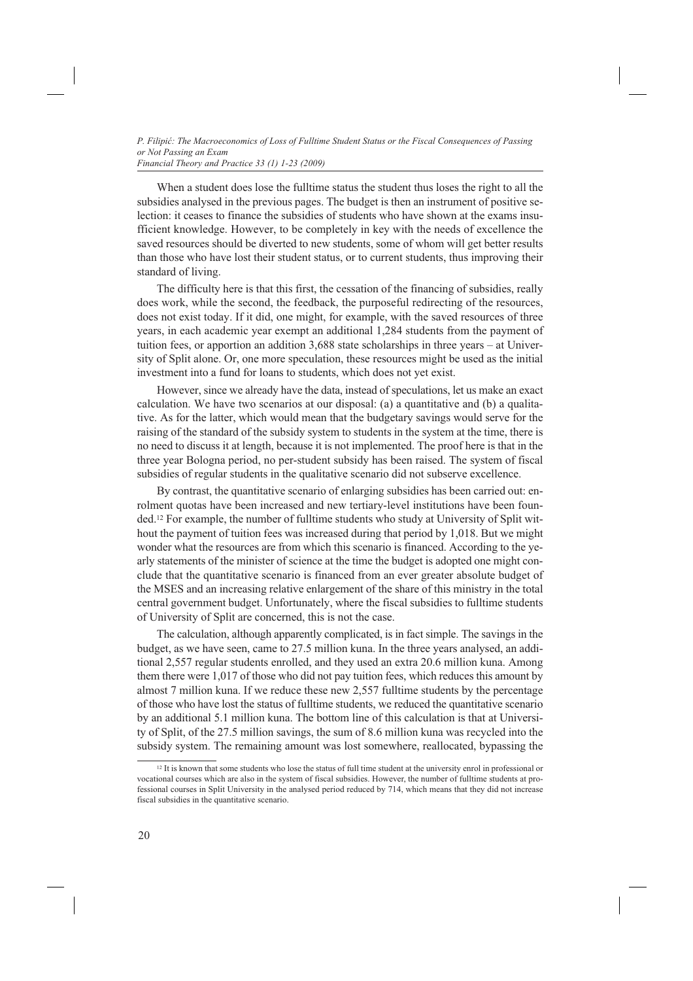When a student does lose the fulltime status the student thus loses the right to all the subsidies analysed in the previous pages. The budget is then an instrument of positive selection: it ceases to finance the subsidies of students who have shown at the exams insufficient knowledge. However, to be completely in key with the needs of excellence the saved resources should be diverted to new students, some of whom will get better results than those who have lost their student status, or to current students, thus improving their standard of living.

The difficulty here is that this first, the cessation of the financing of subsidies, really does work, while the second, the feedback, the purposeful redirecting of the resources, does not exist today. If it did, one might, for example, with the saved resources of three years, in each academic year exempt an additional 1,284 students from the payment of tuition fees, or apportion an addition 3,688 state scholarships in three years – at University of Split alone. Or, one more speculation, these resources might be used as the initial investment into a fund for loans to students, which does not yet exist.

However, since we already have the data, instead of speculations, let us make an exact calculation. We have two scenarios at our disposal: (a) a quantitative and (b) a qualitative. As for the latter, which would mean that the budgetary savings would serve for the raising of the standard of the subsidy system to students in the system at the time, there is no need to discuss it at length, because it is not implemented. The proof here is that in the three year Bologna period, no per-student subsidy has been raised. The system of fiscal subsidies of regular students in the qualitative scenario did not subserve excellence.

By contrast, the quantitative scenario of enlarging subsidies has been carried out: enrolment quotas have been increased and new tertiary-level institutions have been founded.12 For example, the number of fulltime students who study at University of Split without the payment of tuition fees was increased during that period by 1,018. But we might wonder what the resources are from which this scenario is financed. According to the yearly statements of the minister of science at the time the budget is adopted one might conclude that the quantitative scenario is financed from an ever greater absolute budget of the MSES and an increasing relative enlargement of the share of this ministry in the total central government budget. Unfortunately, where the fiscal subsidies to fulltime students of University of Split are concerned, this is not the case.

The calculation, although apparently complicated, is in fact simple. The savings in the budget, as we have seen, came to 27.5 million kuna. In the three years analysed, an additional 2,557 regular students enrolled, and they used an extra 20.6 million kuna. Among them there were 1,017 of those who did not pay tuition fees, which reduces this amount by almost 7 million kuna. If we reduce these new 2,557 fulltime students by the percentage of those who have lost the status of fulltime students, we reduced the quantitative scenario by an additional 5.1 million kuna. The bottom line of this calculation is that at University of Split, of the 27.5 million savings, the sum of 8.6 million kuna was recycled into the subsidy system. The remaining amount was lost somewhere, reallocated, bypassing the

 $12$  It is known that some students who lose the status of full time student at the university enrol in professional or vocational courses which are also in the system of fiscal subsidies. However, the number of fulltime students at professional courses in Split University in the analysed period reduced by 714, which means that they did not increase fiscal subsidies in the quantitative scenario.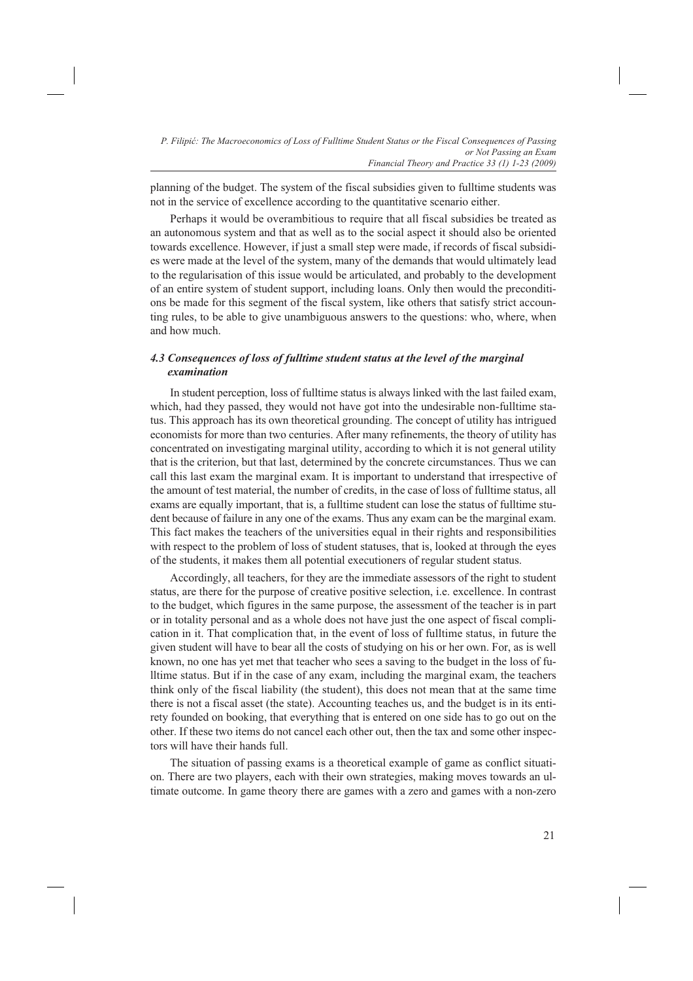planning of the budget. The system of the fiscal subsidies given to fulltime students was not in the service of excellence according to the quantitative scenario either.

Perhaps it would be overambitious to require that all fiscal subsidies be treated as an autonomous system and that as well as to the social aspect it should also be oriented towards excellence. However, if just a small step were made, if records of fiscal subsidies were made at the level of the system, many of the demands that would ultimately lead to the regularisation of this issue would be articulated, and probably to the development of an entire system of student support, including loans. Only then would the preconditions be made for this segment of the fiscal system, like others that satisfy strict accounting rules, to be able to give unambiguous answers to the questions: who, where, when and how much.

# *4.3 Consequences of loss of fulltime student status at the level of the marginal examination*

In student perception, loss of fulltime status is always linked with the last failed exam, which, had they passed, they would not have got into the undesirable non-fulltime status. This approach has its own theoretical grounding. The concept of utility has intrigued economists for more than two centuries. After many refinements, the theory of utility has concentrated on investigating marginal utility, according to which it is not general utility that is the criterion, but that last, determined by the concrete circumstances. Thus we can call this last exam the marginal exam. It is important to understand that irrespective of the amount of test material, the number of credits, in the case of loss of fulltime status, all exams are equally important, that is, a fulltime student can lose the status of fulltime student because of failure in any one of the exams. Thus any exam can be the marginal exam. This fact makes the teachers of the universities equal in their rights and responsibilities with respect to the problem of loss of student statuses, that is, looked at through the eyes of the students, it makes them all potential executioners of regular student status.

Accordingly, all teachers, for they are the immediate assessors of the right to student status, are there for the purpose of creative positive selection, i.e. excellence. In contrast to the budget, which figures in the same purpose, the assessment of the teacher is in part or in totality personal and as a whole does not have just the one aspect of fiscal complication in it. That complication that, in the event of loss of fulltime status, in future the given student will have to bear all the costs of studying on his or her own. For, as is well known, no one has yet met that teacher who sees a saving to the budget in the loss of fulltime status. But if in the case of any exam, including the marginal exam, the teachers think only of the fiscal liability (the student), this does not mean that at the same time there is not a fiscal asset (the state). Accounting teaches us, and the budget is in its entirety founded on booking, that everything that is entered on one side has to go out on the other. If these two items do not cancel each other out, then the tax and some other inspectors will have their hands full.

The situation of passing exams is a theoretical example of game as conflict situation. There are two players, each with their own strategies, making moves towards an ultimate outcome. In game theory there are games with a zero and games with a non-zero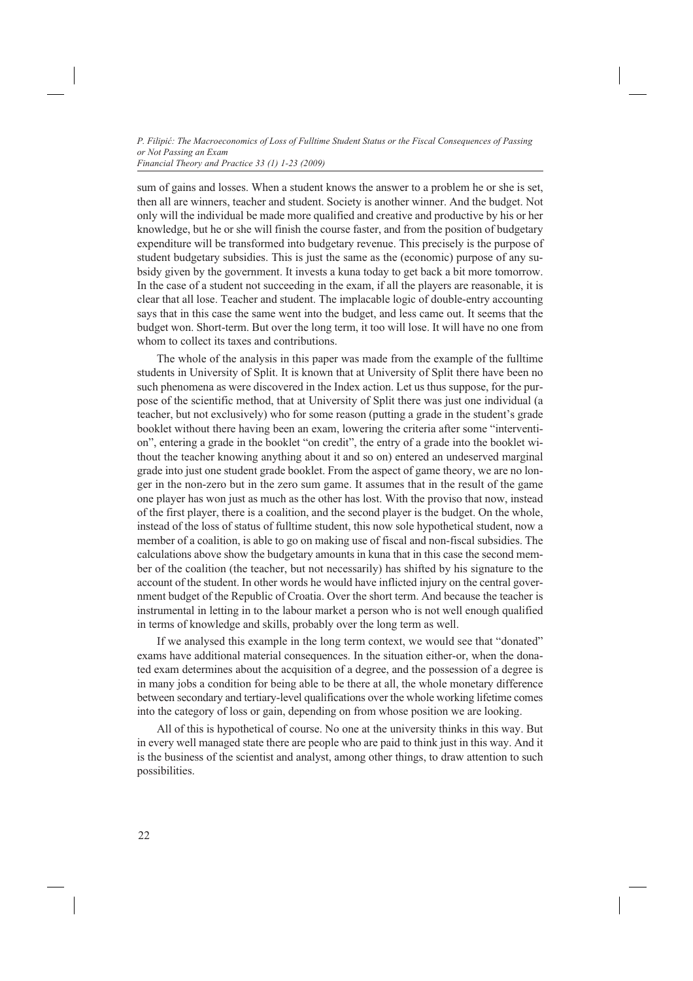sum of gains and losses. When a student knows the answer to a problem he or she is set, then all are winners, teacher and student. Society is another winner. And the budget. Not only will the individual be made more qualified and creative and productive by his or her knowledge, but he or she will finish the course faster, and from the position of budgetary expenditure will be transformed into budgetary revenue. This precisely is the purpose of student budgetary subsidies. This is just the same as the (economic) purpose of any subsidy given by the government. It invests a kuna today to get back a bit more tomorrow. In the case of a student not succeeding in the exam, if all the players are reasonable, it is clear that all lose. Teacher and student. The implacable logic of double-entry accounting says that in this case the same went into the budget, and less came out. It seems that the budget won. Short-term. But over the long term, it too will lose. It will have no one from whom to collect its taxes and contributions.

The whole of the analysis in this paper was made from the example of the fulltime students in University of Split. It is known that at University of Split there have been no such phenomena as were discovered in the Index action. Let us thus suppose, for the purpose of the scientific method, that at University of Split there was just one individual (a teacher, but not exclusively) who for some reason (putting a grade in the student's grade booklet without there having been an exam, lowering the criteria after some "intervention", entering a grade in the booklet "on credit", the entry of a grade into the booklet without the teacher knowing anything about it and so on) entered an undeserved marginal grade into just one student grade booklet. From the aspect of game theory, we are no longer in the non-zero but in the zero sum game. It assumes that in the result of the game one player has won just as much as the other has lost. With the proviso that now, instead of the first player, there is a coalition, and the second player is the budget. On the whole, instead of the loss of status of fulltime student, this now sole hypothetical student, now a member of a coalition, is able to go on making use of fiscal and non-fiscal subsidies. The calculations above show the budgetary amounts in kuna that in this case the second member of the coalition (the teacher, but not necessarily) has shifted by his signature to the account of the student. In other words he would have inflicted injury on the central government budget of the Republic of Croatia. Over the short term. And because the teacher is instrumental in letting in to the labour market a person who is not well enough qualified in terms of knowledge and skills, probably over the long term as well.

If we analysed this example in the long term context, we would see that "donated" exams have additional material consequences. In the situation either-or, when the donated exam determines about the acquisition of a degree, and the possession of a degree is in many jobs a condition for being able to be there at all, the whole monetary difference between secondary and tertiary-level qualifications over the whole working lifetime comes into the category of loss or gain, depending on from whose position we are looking.

All of this is hypothetical of course. No one at the university thinks in this way. But in every well managed state there are people who are paid to think just in this way. And it is the business of the scientist and analyst, among other things, to draw attention to such possibilities.